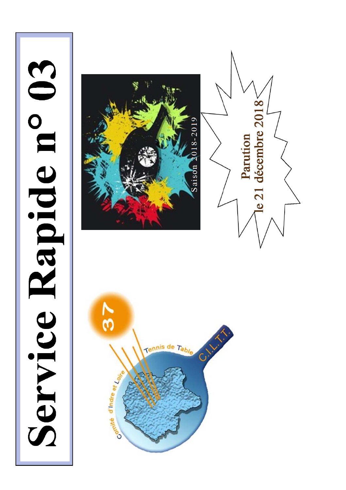# Service Rapide n° 03





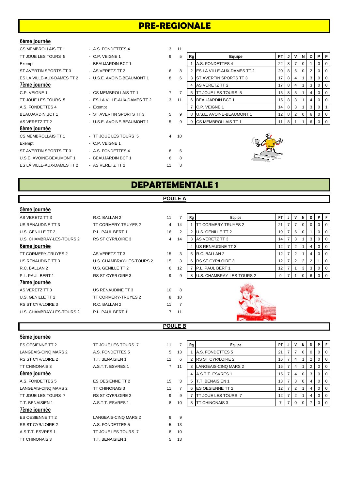# **PRE-REGIONALE**

### **6ème journée**

| CS MEMBROLLAIS TT 1        | - A.S. FONDETTES 4           | 3              | 11             |    |                                   |                 |   |   |                |     |          |     |
|----------------------------|------------------------------|----------------|----------------|----|-----------------------------------|-----------------|---|---|----------------|-----|----------|-----|
| TT JOUE LES TOURS 5        | - C.P. VEIGNE 1              | 9              | 5              | Rg | Equipe                            | <b>PT</b>       | J | v | N              | D I | PIF      |     |
| Exempt                     | - BEAUJARDIN BCT 1           |                |                |    | A.S. FONDETTES 4                  | 22              | 8 |   | 0 <sup>1</sup> |     | 0        |     |
| ST AVERTIN SPORTS TT 3     | - AS VERETZ TT 2             | 6              | 8              |    | <b>ES LA VILLE-AUX-DAMES TT 2</b> | 20              | 8 | 6 | 0 <sup>1</sup> |     |          |     |
| ES LA VILLE-AUX-DAMES TT 2 | - U.S.E. AVOINE-BEAUMONT 1   | 8              | 6              |    | <b>ST AVERTIN SPORTS TT 3</b>     | 17              | 8 |   |                | 3   |          |     |
| 7ème journée               |                              |                |                |    | AS VERETZ TT 2                    | 17              | 8 |   |                | 3   | $\Omega$ |     |
| C.P. VEIGNE 1              | - CS MEMBROLLAIS TT 1        | $\overline{7}$ | $\overline{7}$ | 5  | <b>ITT JOUE LES TOURS 5</b>       | 15              | 8 | 3 |                | 4   | 0        | - C |
| TT JOUE LES TOURS 5        | - ES LA VILLE-AUX-DAMES TT 2 | 3              | 11             |    | <b>BEAUJARDIN BCT 1</b>           | 15              | 8 | 3 |                |     |          |     |
| A.S. FONDETTES 4           | - Exempt                     |                |                |    | C.P. VEIGNE 1                     | 14              | 8 | 3 |                | 3   |          |     |
| <b>BEAUJARDIN BCT 1</b>    | - ST AVERTIN SPORTS TT 3     | 5              | 9              |    | <b>U.S.E. AVOINE-BEAUMONT 1</b>   | 12 <sup>2</sup> | 8 | 2 | 0              | 6   |          |     |
| AS VERETZ TT 2             | - U.S.E. AVOINE-BEAUMONT 1   | 5              | 9              | 9  | <b>CS MEMBROLLAIS TT 1</b>        | 11              | 8 |   |                | 6   |          |     |
| 8ème journée               |                              |                |                |    |                                   |                 |   |   |                |     |          |     |
| <b>CS MEMBROLLAIS TT 1</b> | - TT JOUE LES TOURS 5        |                | 4 10           |    |                                   |                 |   |   |                |     |          |     |
| Exempt                     | - C.P. VEIGNE 1              |                |                |    |                                   |                 |   |   |                |     |          |     |
| ST AVERTIN SPORTS TT 3     | - A.S. FONDETTES 4           | 8              | 6              |    |                                   |                 |   |   |                |     |          |     |
| U.S.E. AVOINE-BEAUMONT 1   | - BEAUJARDIN BCT 1           | 6              | 8              |    |                                   |                 |   |   |                |     |          |     |
| ES LA VILLE-AUX-DAMES TT 2 | - AS VERETZ TT 2             | 11             | 3              |    |                                   |                 |   |   |                |     |          |     |

| UJ MEMDRULLAIJ I I I       | - A.S. FUNDET I ES 4         | د  |    |    |                               |                 |    |     |          |    |                |                  |
|----------------------------|------------------------------|----|----|----|-------------------------------|-----------------|----|-----|----------|----|----------------|------------------|
| TT JOUE LES TOURS 5        | - C.P. VEIGNE 1              | 9  | 5  | Rg | Equipe                        | <b>PT</b>       | JI | v   | N.       | DΙ | PIF            |                  |
| Exempt                     | - BEAUJARDIN BCT 1           |    |    |    | A.S. FONDETTES 4              | 22              | 8  |     | 0        |    |                | $\overline{1}$ 0 |
| ST AVERTIN SPORTS TT 3     | - AS VERETZ TT 2             | 6  | 8  |    | 2 ES LA VILLE-AUX-DAMES TT 2  | 20              | 8  | -6  | 0        |    |                | 0 <sub>0</sub>   |
| ES LA VILLE-AUX-DAMES TT 2 | - U.S.E. AVOINE-BEAUMONT 1   | 8  | 6  |    | 3 IST AVERTIN SPORTS TT 3     |                 | 8  |     |          | 3  | $01$ 0         |                  |
| 7ème journée               |                              |    |    |    | 4 AS VERETZ TT 2              |                 | 8  |     |          | 3  | $01$ 0         |                  |
| C.P. VEIGNE 1              | - CS MEMBROLLAIS TT 1        | 7  |    |    | 5 <b>ITT JOUE LES TOURS 5</b> | 15 I            | 8  | - 3 |          |    | $01$ 0         |                  |
| TT JOUE LES TOURS 5        | - ES LA VILLE-AUX-DAMES TT 2 | 3  | 11 |    | 6 BEAUJARDIN BCT 1            | 15 I            | 8  | -3  |          |    | $01$ 0         |                  |
| A.S. FONDETTES 4           | - Exempt                     |    |    |    | C.P. VEIGNE 1                 | 14 I            | 8  |     |          | 3  | $\overline{0}$ |                  |
| <b>BEAUJARDIN BCT 1</b>    | - ST AVERTIN SPORTS TT 3     | 5  | 9  |    | 8 U.S.E. AVOINE-BEAUMONT 1    | 12 <sub>1</sub> | 8  |     | $\Omega$ | 6  | $01$ 0         |                  |
| AS VERETZ TT 2             | - USE AVOINE-BEAUMONT 1      | 5. | -9 |    | 9 CS MEMBROLLAIS TT 1         | 11 8 8          |    |     |          |    | 0 <sub>0</sub> |                  |



# **DEPARTEMENTALE 1**

**POULE A**

### **5ème journée**

| R.C. BALLAN 2             | 11              | 7              | Rg | Equipe                     | <b>PT</b>                                                                                                                                                     |                | N              | D          |                |                                            |
|---------------------------|-----------------|----------------|----|----------------------------|---------------------------------------------------------------------------------------------------------------------------------------------------------------|----------------|----------------|------------|----------------|--------------------------------------------|
| TT CORMERY-TRUYES 2       | $\overline{4}$  | 14             |    | <b>TT CORMERY-TRUYES 2</b> | 21                                                                                                                                                            |                | 0              | $^{\circ}$ | 0 <sup>1</sup> | 0                                          |
| P.L. PAUL BERT 1          | 16              | 2              |    |                            | 19                                                                                                                                                            | 6              | $\overline{0}$ |            |                |                                            |
| <b>RS ST CYR/LOIRE 3</b>  | 4               | 14             |    |                            | 14                                                                                                                                                            | 3              |                | 3          |                | - 0                                        |
|                           |                 |                |    |                            | 12                                                                                                                                                            | 2              |                | 4          |                |                                            |
| AS VERETZ TT 3            | 15              | 3              | 5  |                            | 12                                                                                                                                                            | 2              |                | 4          |                | - 0                                        |
| U.S. CHAMBRAY-LES-TOURS 2 | 15              | 3              | 6  |                            | 12                                                                                                                                                            | $\overline{2}$ | 2              | 2          |                | 0                                          |
| U.S. GENILLE TT 2         | 6               | 12             |    |                            | 12                                                                                                                                                            |                | 3              | 3          |                | - 0                                        |
| <b>RS ST CYR/LOIRE 3</b>  | 9               | 9              | 8  |                            | 9                                                                                                                                                             |                | $\mathbf{0}$   | 6          |                |                                            |
|                           |                 |                |    |                            |                                                                                                                                                               |                |                |            |                |                                            |
| US RENAUDINE TT 3         | 10 <sup>1</sup> | 8              |    |                            |                                                                                                                                                               |                |                |            |                |                                            |
| TT CORMERY-TRUYES 2       | 8               | 10             |    |                            |                                                                                                                                                               |                |                |            |                |                                            |
| R.C. BALLAN 2             | 11              | $\overline{7}$ |    |                            |                                                                                                                                                               |                |                |            |                |                                            |
| P.L. PAUL BERT 1          |                 | 11             |    |                            |                                                                                                                                                               |                |                |            |                |                                            |
|                           |                 |                |    |                            | <b>U.S. GENILLE TT 2</b><br>AS VERETZ TT 3<br>US RENAUDINE TT 3<br>R.C. BALLAN 2<br><b>RS ST CYR/LOIRE 3</b><br>P.L. PAUL BERT 1<br>U.S. CHAMBRAY-LES-TOURS 2 |                |                |            |                | PF<br>0 <sup>0</sup><br>$0$   0<br>$0$   0 |

### **POULE B**

| 5ème journée             |                          |                |                |    |                            |                 |   |                |                |                |                |     |
|--------------------------|--------------------------|----------------|----------------|----|----------------------------|-----------------|---|----------------|----------------|----------------|----------------|-----|
| ES OESIENNE TT 2         | TT JOUE LES TOURS 7      | 11             | $\overline{7}$ | Rg | Equipe                     | <b>PT</b>       |   | V              | N              | D              | PIF            |     |
| LANGEAIS-CINQ MARS 2     | A.S. FONDETTES 5         | 5              | 13             |    | <b>A.S. FONDETTES 5</b>    | 21              |   |                | 0              | 0              | 0              |     |
| <b>RS ST CYR/LOIRE 2</b> | T.T. BENAISIEN 1         | 12             | 6              |    | <b>IRS ST CYR/LOIRE 2</b>  | 16              |   | 4              |                | 2              | 0              | -0  |
| <b>TT CHINONAIS 3</b>    | A.S.T.T. ESVRES 1        | $\overline{7}$ | 11             |    | LANGEAIS-CINQ MARS 2       | 16              |   | 4              |                | 2              | 0              | O   |
| <u>6ème journée</u>      |                          |                |                |    | A.S.T.T. ESVRES 1          | 15              |   | 4              | $\overline{0}$ | 3              | 0              | - 0 |
| A.S. FONDETTES 5         | ES OESIENNE TT 2         | 15             | 3              |    | <b>T.T. BENAISIEN 1</b>    | 13              |   | 3              | $\overline{0}$ | 4              | 0              | C   |
| LANGEAIS-CINQ MARS 2     | <b>TT CHINONAIS 3</b>    | 11             | 7              | 6  | <b>ES OESIENNE TT 2</b>    | 12 <sup>°</sup> |   | $\overline{2}$ |                | 4              | 0              | O   |
| TT JOUE LES TOURS 7      | <b>RS ST CYR/LOIRE 2</b> | 9              | 9              |    | <b>TT JOUE LES TOURS 7</b> | 12              |   | 2              |                | 4              | 0              | O   |
| T.T. BENAISIEN 1         | A.S.T.T. ESVRES 1        | 8              | 10             | 8  | <b>TT CHINONAIS 3</b>      |                 | 7 | $\Omega$       | $\overline{0}$ | $\overline{7}$ | 0 <sup>1</sup> |     |
| 7ème journée             |                          |                |                |    |                            |                 |   |                |                |                |                |     |
| ES OESIENNE TT 2         | LANGEAIS-CINQ MARS 2     | 9              | 9              |    |                            |                 |   |                |                |                |                |     |
| RS ST CYR/LOIRE 2        | A.S. FONDETTES 5         | 5              | 13             |    |                            |                 |   |                |                |                |                |     |
| A.S.T.T. ESVRES 1        | TT JOUE LES TOURS 7      | 8              | 10             |    |                            |                 |   |                |                |                |                |     |
| <b>TT CHINONAIS 3</b>    | T.T. BENAISIEN 1         | 5              | 13             |    |                            |                 |   |                |                |                |                |     |

| 7  | Rg | Equipe               | PT | J | ν | N | D | Ρ | F |
|----|----|----------------------|----|---|---|---|---|---|---|
| 13 |    | A.S. FONDETTES 5     | 21 | 7 | 7 | 0 | 0 | 0 | 0 |
| 6  | 2  | RS ST CYR/LOIRE 2    | 16 | 7 | 4 | 1 | 2 | 0 | 0 |
| 11 | 3  | LANGEAIS-CINQ MARS 2 | 16 | 7 | 4 | 1 | 2 | 0 | 0 |
|    | 4  | A.S.T.T. ESVRES 1    | 15 | 7 | 4 | 0 | 3 | 0 | 0 |
| 3  | 5  | T.T. BENAISIEN 1     | 13 | 7 | 3 | 0 | 4 | 0 | 0 |
| 7  | 6  | ES OESIENNE TT 2     | 12 | 7 | 2 | 1 | 4 | 0 | 0 |
| 9  |    | TT JOUE LES TOURS 7  | 12 | 7 | 2 | 1 | 4 | 0 | 0 |
| 10 | 8  | TT CHINONAIS 3       | 7  |   | O | ი |   |   |   |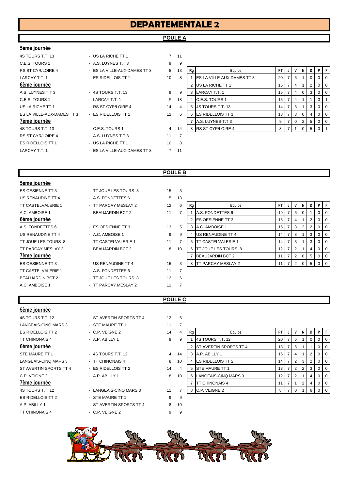# **DEPARTEMENTALE 2**

# **POULE A**

### **5ème journée**

| 4S TOURS T.T. 13  | - US LA RICHE TT 1           | 7              | 11             |
|-------------------|------------------------------|----------------|----------------|
| C.E.S. TOURS 1    | - A.S. LUYNES T.T 3          | 9              | 9              |
| RS ST CYR/LOIRE 4 | - ES LA VILLE-AUX-DAMES TT 3 | 5              | 13             |
| LARCAY T.T. 1     | - ES RIDELLOIS TT 1          | 10             | 8              |
| 6ème journée      |                              |                |                |
| A.S. LUYNES T.T 3 | - 4S TOURS T.T. 13           | 9              | 9              |
| C.E.S. TOURS 1    | - LARCAY T.T. 1              | F              | 18             |
| US LA RICHE TT 1  | - RS ST CYR/LOIRE 4          | 14             | $\overline{4}$ |
|                   |                              | 12             | 6              |
| 7ème journée      |                              |                |                |
| 4S TOURS T.T. 13  | - C.E.S. TOURS 1             | 4              | 14             |
| RS ST CYR/LOIRE 4 | - A.S. LUYNES T.T 3          | 11             | 7              |
| ES RIDELLOIS TT 1 | - US LA RICHE TT 1           | 10             | 8              |
| LARCAY T.T. 1     | - ES LA VILLE-AUX-DAMES TT 3 | $\overline{7}$ | 11             |
|                   |                              |                |                |

| C.E.S. TOURS 1             | - A.S. LUYNES T.T 3          | 9              |    |    |                                    |           |   |          |                |           |
|----------------------------|------------------------------|----------------|----|----|------------------------------------|-----------|---|----------|----------------|-----------|
| RS ST CYR/LOIRE 4          | - ES LA VILLE-AUX-DAMES TT 3 | 5              | 13 | Rg | Equipe                             | <b>PT</b> |   | N.       | DΙ             | PF        |
| LARCAY T.T. 1              | - ES RIDELLOIS TT 1          | 10             | 8  |    | <b>IES LA VILLE-AUX-DAMES TT 3</b> | 20        |   |          |                | $0$   $0$ |
| 6ème journée               |                              |                |    |    | US LA RICHE TT 1                   | 16        |   |          |                | $0$   0   |
| A.S. LUYNES T.T 3          | $-4S$ TOURS T.T. 13          | 9              | 9  |    | LARCAY T.T. 1                      | 15        | 4 | $\Omega$ | 3              | $0$   $0$ |
| C.E.S. TOURS 1             | - LARCAY T.T. 1              | F.             | 18 |    | 4 C.E.S. TOURS 1                   | 15        |   |          |                |           |
| US LA RICHE TT 1           | - RS ST CYR/LOIRE 4          | 14             | 4  |    | 5 4S TOURS T.T. 13                 | 14        |   |          | 3              | $0$   $0$ |
| ES LA VILLE-AUX-DAMES TT 3 | - ES RIDELLOIS TT 1          | 12             | 6  |    | 6 <b>ES RIDELLOIS TT 1</b>         | 13        |   | $\Omega$ | 4              | $0$   $0$ |
| 7ème journée               |                              |                |    |    | A.S. LUYNES T.T 3                  | 9         |   | 2        | 5 <sup>1</sup> | $0$   $0$ |
| 4S TOURS T.T. 13           | - C.E.S. TOURS 1             | $\overline{4}$ | 14 |    | 8 RS ST CYR/LOIRE 4                | 8         |   |          | 5              |           |
|                            |                              |                |    |    |                                    |           |   |          |                |           |

### **POULE B**

| 5ème journée              |                       |    |                |    |                             |           |                |   |   |                |                |                         |
|---------------------------|-----------------------|----|----------------|----|-----------------------------|-----------|----------------|---|---|----------------|----------------|-------------------------|
| ES OESIENNE TT 3          | - TT JOUE LES TOURS 8 | 15 | 3              |    |                             |           |                |   |   |                |                |                         |
| US RENAUDINE TT 4         | - A.S. FONDETTES 6    | 5  | 13             |    |                             |           |                |   |   |                |                |                         |
| <b>TT CASTELVALERIE 1</b> | - TT PARCAY MESLAY 2  | 12 | 6              | Rg | Equipe                      | <b>PT</b> |                |   | N | D I            | P.             | l F                     |
| A.C. AMBOISE 1            | - BEAUJARDIN BCT 2    | 11 | 7              |    | A.S. FONDETTES 6            | 19        |                | 6 |   |                | 0              | $\overline{0}$          |
| 6ème journée              |                       |    |                |    | 2 ES OESIENNE TT 3          | 16        |                | 4 |   | $\overline{2}$ | $0$   0        |                         |
| A.S. FONDETTES 6          | - ES OESIENNE TT 3    | 13 | 5              |    | 3 A.C. AMBOISE 1            | 15        |                | 3 | 2 | 2              | 0              | $\overline{0}$          |
| US RENAUDINE TT 4         | - A.C. AMBOISE 1      | 9  | 9              | 4  | US RENAUDINE TT 4           | 14        |                | 3 |   | 3              | $\overline{0}$ | $\overline{0}$          |
| TT JOUE LES TOURS 8       | - TT CASTELVALERIE 1  | 11 |                | 5  | <b>ITT CASTELVALERIE 1</b>  | 14        |                | 3 |   | 3              | 0              | $\mathbf 0$             |
| TT PARCAY MESLAY 2        | - BEAUJARDIN BCT 2    | 8  | 10             | 6  | <b>ITT JOUE LES TOURS 8</b> | 12        |                | 2 |   | 4              | $\mathbf{0}$   | <b>0</b>                |
| 7ème journée              |                       |    |                |    | <b>BEAUJARDIN BCT 2</b>     | 11        |                | 2 | 0 | 5              | 0              | $\overline{\mathbf{0}}$ |
| ES OESIENNE TT 3          | - US RENAUDINE TT 4   | 15 | 3              |    | 8 TT PARCAY MESLAY 2        | 11        | $\overline{7}$ | 2 | 0 | 5 <sup>1</sup> | $0$   0        |                         |
| <b>TT CASTELVALERIE 1</b> | - A.S. FONDETTES 6    | 11 | $\overline{7}$ |    |                             |           |                |   |   |                |                |                         |
| <b>BEAUJARDIN BCT 2</b>   | - TT JOUE LES TOURS 8 | 12 | 6              |    |                             |           |                |   |   |                |                |                         |
| A.C. AMBOISE 1            | - TT PARCAY MESLAY 2  | 11 | $\overline{7}$ |    |                             |           |                |   |   |                |                |                         |
|                           |                       |    |                |    |                             |           |                |   |   |                |                |                         |

### **POULE C**

| 4S TOURS T.T. 12         |
|--------------------------|
| LANGEAIS-CINQ MARS 3     |
| <b>ES RIDELLOIS TT 2</b> |
| TT CHINONAIS 4           |
| 6ème journée             |
| STE MAURE TT 1           |
| LANGEAIS-CINQ MARS 3     |
| ST AVERTIN SPORTS TT     |
| C.P. VEIGNE 2            |
| $\sim$                   |

### **7ème journée**

**5ème journée**

| <b>OCITIC IQUITICE</b> |                          |    |                |
|------------------------|--------------------------|----|----------------|
| 4S TOURS T.T. 12       | - ST AVERTIN SPORTS TT 4 | 12 | 6              |
| LANGEAIS-CINQ MARS 3   | - STE MAURE TT 1         | 11 | $\overline{7}$ |
| ES RIDELLOIS TT 2      | - C.P. VEIGNE 2          | 14 | 4              |
| <b>TT CHINONAIS 4</b>  | - A.P. ABILLY 1          | 9  | 9              |
| 6ème journée           |                          |    |                |
| STE MAURE TT 1         | - 4S TOURS T.T. 12       | 4  | 14             |
| LANGEAIS-CINQ MARS 3   | - TT CHINONAIS 4         | 8  | 10             |
| ST AVERTIN SPORTS TT 4 | - ES RIDELLOIS TT 2      | 14 | 4              |
| C.P. VEIGNE 2          | - A.P. ABILLY 1          | 8  | 10             |
| 7ème journée           |                          |    |                |
| 4S TOURS T.T. 12       | - LANGEAIS-CINO MARS 3   | 11 | $\overline{7}$ |
| ES RIDELLOIS TT 2      | - STE MAURE TT 1         | 9  | 9              |
| A.P. ABILLY 1          | - ST AVERTIN SPORTS TT 4 | 8  | 10             |
| <b>TT CHINONAIS 4</b>  | $-$ C.P. VEIGNE 2        | 9  | 9              |
|                        |                          |    |                |

| LANGEAIS-UINU MARS 3   | - SIE MAURE II 1       |                |    |    |                            |           |   |   |    |                  |
|------------------------|------------------------|----------------|----|----|----------------------------|-----------|---|---|----|------------------|
| ES RIDELLOIS TT 2      | - C.P. VEIGNE 2        | 14             | 4  | Rg | Equipe                     | <b>PT</b> |   | N | D. | PFI              |
| TT CHINONAIS 4         | $-$ A.P. ABILLY 1      | 9              | 9  |    | 4S TOURS T.T. 12           | 20        |   |   |    | 0 <sub>0</sub>   |
| 6ème journée           |                        |                |    |    | 2 ST AVERTIN SPORTS TT 4   | 18        |   |   |    | $\overline{1}$ 0 |
| STE MAURE TT 1         | - 4S TOURS T.T. 12     | $\overline{4}$ | 14 |    | 3 A.P. ABILLY 1            | 16        | 4 |   |    | $0$   $0$        |
| LANGEAIS-CINQ MARS 3   | - TT CHINONAIS 4       | 8              | 10 |    | 4 <b>ES RIDELLOIS TT 2</b> | 14        |   |   |    | 0 1 0            |
| ST AVERTIN SPORTS TT 4 | - ES RIDELLOIS TT 2    | 14             | 4  |    | 5 STE MAURE TT 1           | 13        |   |   | 3  | $\overline{1}$ 0 |
| C.P. VEIGNE 2          | $-$ A.P. ABILLY 1      | 8              | 10 |    | LANGEAIS-CINQ MARS 3       |           |   |   | 4  | $0$   $0$        |
| 7ème journée           |                        |                |    |    | <b>TT CHINONAIS 4</b>      |           |   | 2 | 4  | $0$   $0$        |
| 4S TOURS T.T. 12       | - LANGEAIS-CINQ MARS 3 | 11             |    | 8  | C.P. VEIGNE 2              | 8         |   |   |    | $\overline{101}$ |
|                        |                        |                |    |    |                            |           |   |   |    |                  |

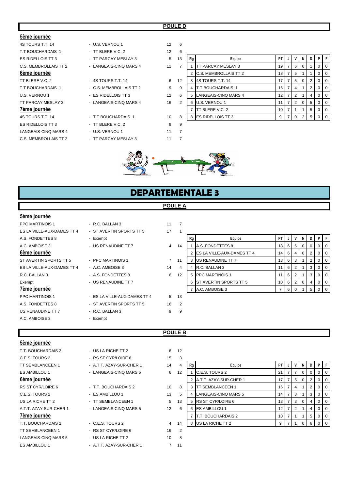### **POULE D**

### **5ème journée**

| 4S TOURS T.T. 14      | - U.S. VERNOU 1         | 12 | 6              |
|-----------------------|-------------------------|----|----------------|
| T.T BOUCHARDAIS 1     | - TT BLERE V.C. 2       | 12 | 6              |
| ES RIDELLOIS TT 3     | - TT PARCAY MESLAY 3    | 5  | 13             |
| C.S. MEMBROLLAIS TT 2 | - LANGEAIS-CINQ MARS 4  | 11 | $\overline{7}$ |
| 6ème journée          |                         |    |                |
| TT BLERE V.C. 2       | - 4S TOURS T.T. 14      | 6  | 12             |
| T.T BOUCHARDAIS 1     | - C.S. MEMBROLLAIS TT 2 | 9  | 9              |
| U.S. VERNOU 1         | - ES RIDELLOIS TT 3     | 12 | 6              |
| TT PARCAY MESLAY 3    | - LANGEAIS-CINQ MARS 4  | 16 | $\overline{2}$ |
| 7ème journée          |                         |    |                |
| 4S TOURS T.T. 14      | - T.T BOUCHARDAIS 1     | 10 | 8              |
| ES RIDELLOIS TT 3     | - TT BLERE V.C. 2       | 9  | 9              |
| LANGEAIS-CINQ MARS 4  | - U.S. VERNOU 1         | 11 | $\overline{7}$ |
| C.S. MEMBROLLAIS TT 2 | - TT PARCAY MESLAY 3    | 11 | $\overline{7}$ |

| T.T BOUCHARDAIS 1     | $-$ TT BLERE V.C. 2     | 12 | 6             |    |                              |                 |   |            |   |    |                |          |
|-----------------------|-------------------------|----|---------------|----|------------------------------|-----------------|---|------------|---|----|----------------|----------|
| ES RIDELLOIS TT 3     | - TT PARCAY MESLAY 3    | 5  | 13            | Rg | Equipe                       | PT I            | J | v          | N | D  | PIF            |          |
| C.S. MEMBROLLAIS TT 2 | - LANGEAIS-CINQ MARS 4  | 11 |               |    | <b>TT PARCAY MESLAY 3</b>    | 19 I            |   | 6          |   |    |                | - 0      |
| 6ème journée          |                         |    |               |    | <b>C.S. MEMBROLLAIS TT 2</b> | 18 <sup>1</sup> |   | -5         |   |    |                | I O      |
| TT BLERE V.C. 2       | $-4S$ TOURS T.T. 14     | 6  | 12            | 3  | <b>4S TOURS T.T. 14</b>      | 17              |   | 5          |   |    |                | - 0      |
| T.T BOUCHARDAIS 1     | - C.S. MEMBROLLAIS TT 2 | 9  | 9             | 4  | <b>IT.T BOUCHARDAIS 1</b>    | 16 <sup>1</sup> |   | 4          |   |    |                | I O      |
| U.S. VERNOU 1         | - ES RIDELLOIS TT 3     | 12 | 6             | 5  | LANGEAIS-CINQ MARS 4         | 12 <sup>1</sup> |   |            |   |    |                | - 0      |
| TT PARCAY MESLAY 3    | - LANGEAIS-CINQ MARS 4  | 16 | $\mathcal{P}$ | 6  | U.S. VERNOU 1                | 11 <sup>1</sup> |   | 2          |   | 5  |                | l O      |
| 7ème journée          |                         |    |               |    | TT BLERE V.C. 2              | 10 <sup>1</sup> |   |            |   | 5  |                | $\Omega$ |
| 4S TOURS T.T. 14      | - T.T BOUCHARDAIS 1     | 10 | 8             | 8  | <b>IES RIDELLOIS TT 3</b>    | 9               |   | $\sqrt{0}$ |   | -5 | 0 <sub>0</sub> |          |



# **DEPARTEMENTALE 3**

### **POULE A**

### **5ème journée**

| PPC MARTINOIS 1            | - R.C. BALLAN 3              | 11 | 7              |
|----------------------------|------------------------------|----|----------------|
| ES LA VILLE-AUX-DAMES TT 4 | - ST AVERTIN SPORTS TT 5     | 17 | 1              |
| A.S. FONDETTES 8           | - Exempt                     |    |                |
| A.C. AMBOISE 3             | - US RENAUDINE TT 7          | 4  | 14             |
| 6ème journée               |                              |    |                |
| ST AVERTIN SPORTS TT 5     | - PPC MARTINOIS 1            | 7  | 11             |
| ES LA VILLE-AUX-DAMES TT 4 | - A.C. AMBOISE 3             | 14 | $\overline{4}$ |
| R.C. BALLAN 3              | - A.S. FONDETTES 8           | 6  | 12             |
| Exempt                     | - US RENAUDINE TT 7          |    |                |
| <u>7ème journée</u>        |                              |    |                |
| <b>PPC MARTINOIS 1</b>     | - ES LA VILLE-AUX-DAMES TT 4 | 5  | 13             |
| A.S. FONDETTES 8           | - ST AVERTIN SPORTS TT 5     | 16 | 2              |
| US RENAUDINE TT 7          | $-R.C. BALLAN 3$             | 9  | 9              |
| A.C. AMBOISE 3             | Exempt                       |    |                |
|                            |                              |    |                |

| LY LA VILLE-AUA-DAIVILY II 4 | יט וויט וויט וויט די אווירום את ופ | $\mathbf{r}$ |    |              |                                     |                 |      |          |   |   |        |                |
|------------------------------|------------------------------------|--------------|----|--------------|-------------------------------------|-----------------|------|----------|---|---|--------|----------------|
| A.S. FONDETTES 8             | - Exempt                           |              |    | Equipe<br>Rg |                                     | PT I            |      |          | N | D | PIF    |                |
| A.C. AMBOISE 3               | - US RENAUDINE TT 7                | 4            | 14 |              | A.S. FONDETTES 8                    | 18 I            | -6 I | - 6      |   |   |        | 0 <sub>0</sub> |
| 6ème journée                 |                                    |              |    |              | 2 <b>ES LA VILLE-AUX-DAMES TT 4</b> | 14 I            | 614  |          |   |   |        | $01$ 0         |
| ST AVERTIN SPORTS TT 5       | - PPC MARTINOIS 1                  |              | 11 | 3            | US RENAUDINE TT 7                   | 13 <sup>1</sup> | 6    |          |   |   |        | $01$ 0         |
| ES LA VILLE-AUX-DAMES TT 4   | - A.C. AMBOISE 3                   | 14           | 4  |              | R.C. BALLAN 3                       |                 |      |          |   |   |        | $01$ 0         |
| R.C. BALLAN 3                | - A.S. FONDETTES 8                 | 6            | 12 |              | 5 <b>PPC MARTINOIS 1</b>            |                 | 6 2  |          |   |   |        | $01$ 0         |
| Exempt                       | - US RENAUDINE TT 7                |              |    |              | <b>ST AVERTIN SPORTS TT 5</b>       |                 |      | $10$ 6 2 |   | 4 | $01$ 0 |                |
| 7ème journée                 |                                    |              |    |              | A.C. AMBOISE 3                      |                 |      |          |   |   |        | $01$ 0         |
|                              |                                    |              |    |              |                                     |                 |      |          |   |   |        |                |

# **POULE B**

| 5ème journée             |                          |                         |                |
|--------------------------|--------------------------|-------------------------|----------------|
| T.T. BOUCHARDAIS 2       | - US LA RICHE TT 2       | 6                       | 12             |
| C.E.S. TOURS 2           | - RS ST CYR/LOIRE 6      | 15                      | 3              |
| <b>TT SEMBLANCEEN 1</b>  | - A.T.T. AZAY-SUR-CHER 1 | 14                      | $\overline{4}$ |
| ES AMBILLOU 1            | - LANGEAIS-CINQ MARS 5   | 6                       | 12             |
| 6ème journée             |                          |                         |                |
| <b>RS ST CYR/LOIRE 6</b> | - T.T. BOUCHARDAIS 2     | 10 <sup>1</sup>         | 8              |
| C.E.S. TOURS 2           | - ES AMBILLOU 1          | 13                      | 5              |
| US LA RICHE TT 2         | - TT SEMBLANCEEN 1       | 5                       | 13             |
| A.T.T. AZAY-SUR-CHER 1   | - LANGEAIS-CINQ MARS 5   | 12                      | 6              |
| 7ème journée             |                          |                         |                |
| T.T. BOUCHARDAIS 2       | - C.E.S. TOURS 2         | $\overline{\mathbf{4}}$ | 14             |
| <b>TT SEMBLANCEEN 1</b>  | - RS ST CYR/LOIRE 6      | 16                      | $\overline{2}$ |
| LANGEAIS-CINQ MARS 5     | - US LA RICHE TT 2       | 10 <sup>1</sup>         | 8              |
| <b>ES AMBILLOU 1</b>     | - A.T.T. AZAY-SUR-CHER 1 | 7                       | 11             |
|                          |                          |                         |                |

| C.E.S. TOURS 2         | - RS ST CYR/LOIRE 6      | 15 | 3  |    |                           |                 |          |       |   |          |                |                |
|------------------------|--------------------------|----|----|----|---------------------------|-----------------|----------|-------|---|----------|----------------|----------------|
| TT SEMBLANCEEN 1       | - A.T.T. AZAY-SUR-CHER 1 | 14 | 4  | Rg | Equipe                    | PT I            | J        | V)    | N | D        | P I            | F              |
| ES AMBILLOU 1          | - LANGEAIS-CINQ MARS 5   | 6  | 12 |    | C.E.S. TOURS 2            | 21              |          |       |   | $\Omega$ | $01$ 0         |                |
| 6ème journée           |                          |    |    |    | A.T.T. AZAY-SUR-CHER 1    | 17 <sub>1</sub> |          | 5     |   |          | $\Omega$       | <b>0</b>       |
| RS ST CYR/LOIRE 6      | - T.T. BOUCHARDAIS 2     | 10 | 8  |    | <b>TT SEMBLANCEEN 1</b>   | 16 <sup>1</sup> |          | 4     |   |          | $\overline{0}$ | $\overline{0}$ |
| C.E.S. TOURS 2         | - ES AMBILLOU 1          | 13 | 5  |    | LANGEAIS-CINQ MARS 5      | 14              |          | 3     |   | 3        | $\overline{0}$ | $\overline{0}$ |
| US LA RICHE TT 2       | - TT SEMBLANCEEN 1       | 5  | 13 |    | 5 RS ST CYR/LOIRE 6       | 13 <sup>1</sup> | <b>7</b> | l 3 l |   | 4        | $\overline{0}$ | <b>0</b>       |
| A.T.T. AZAY-SUR-CHER 1 | - LANGEAIS-CINQ MARS 5   | 12 | 6  | 6  | <b>ES AMBILLOU 1</b>      | 12 <sup>1</sup> |          |       |   | 4        | $\overline{0}$ | $\overline{0}$ |
| 7ème journée           |                          |    |    |    | <b>T.T. BOUCHARDAIS 2</b> | 10 <sub>1</sub> |          |       |   | 5        | $\Omega$       | $\overline{0}$ |
| T.T. BOUCHARDAIS 2     | - C.E.S. TOURS 2         | 4  | 14 |    | 8 US LA RICHE TT 2        |                 |          |       |   | 6        | $01$ 0         |                |
|                        |                          |    |    |    |                           |                 |          |       |   |          |                |                |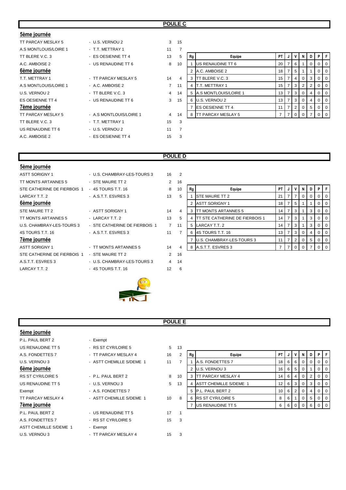### **POULE C**

| 5ème journée          |                         |                |    |    |                          |    |                |                |                |   |                |     |
|-----------------------|-------------------------|----------------|----|----|--------------------------|----|----------------|----------------|----------------|---|----------------|-----|
| TT PARCAY MESLAY 5    | - U.S. VERNOU 2         | 3              | 15 |    |                          |    |                |                |                |   |                |     |
| A.S MONTLOUIS/LOIRE 1 | - T.T. METTRAY 1        | 11             | 7  |    |                          |    |                |                |                |   |                |     |
| TT BLERE V.C. 3       | - ES OESIENNE TT 4      | 13             | 5  | Rg | Equipe                   | PT |                |                |                |   | PIF            |     |
| A.C. AMBOISE 2        | - US RENAUDINE TT 6     | 8              | 10 |    | US RENAUDINE TT 6        | 20 | $\overline{7}$ | 6              |                | 0 | 0              | - 0 |
| 6ème journée          |                         |                |    |    | A.C. AMBOISE 2           | 18 |                | 5              |                |   | 0              |     |
| T.T. METTRAY 1        | - TT PARCAY MESLAY 5    | 14             | 4  | 3  | <b>ITT BLERE V.C. 3</b>  | 15 | 7              | $\sim$         | 0 <sup>1</sup> | 3 | 0              | - 0 |
| A.S MONTLOUIS/LOIRE 1 | - A.C. AMBOISE 2        | $\overline{7}$ | 11 |    | <b>T.T. METTRAY 1</b>    | 15 |                | 3              | 2              | 2 | 0              | - C |
| U.S. VERNOU 2         | - TT BLERE V.C. 3       | $\overline{4}$ | 14 |    | A.S MONTLOUIS/LOIRE 1    | 13 | 7              | 3              | 0              | 4 | 0              | -0  |
| ES OESIENNE TT 4      | - US RENAUDINE TT 6     | 3              | 15 | 6  | U.S. VERNOU 2            | 13 |                | 3              | 0              | 4 | 0              | C   |
| 7ème journée          |                         |                |    |    | <b>IES OESIENNE TT 4</b> | 11 | 7              | 2 <sup>1</sup> | 0 <sup>1</sup> | 5 | 0              | - 0 |
| TT PARCAY MESLAY 5    | - A.S MONTLOUIS/LOIRE 1 | $\overline{4}$ | 14 |    | 8 TT PARCAY MESLAY 5     |    | 7              | $\Omega$       |                |   | 0 <sub>1</sub> |     |
| TT BLERE V.C. 3       | - T.T. METTRAY 1        | 15             | 3  |    |                          |    |                |                |                |   |                |     |
| US RENAUDINE TT 6     | - U.S. VERNOU 2         | 11             | 7  |    |                          |    |                |                |                |   |                |     |
| A.C. AMBOISE 2        | - ES OESIENNE TT 4      | 15             | 3  |    |                          |    |                |                |                |   |                |     |

### **POULE D**

| 5ème journée                |                               |                |                |
|-----------------------------|-------------------------------|----------------|----------------|
| <b>ASTT SORIGNY 1</b>       | - U.S. CHAMBRAY-LES-TOURS 3   | 16             | $\overline{2}$ |
| TT MONTS ARTANNES 5         | - STE MAURE TT 2              | 2              | 16             |
| STE CATHERINE DE FIERBOIS 1 | - 4S TOURS T.T. 16            | 8              | 10             |
| LARCAY T.T. 2               | - A S.T.T. ESVRES 3           | 13             | 5              |
| 6ème journée                |                               |                |                |
| STE MAURE TT 2              | - ASTT SORIGNY 1              | 14             | 4              |
| TT MONTS ARTANNES 5         | - LARCAY T.T. 2               | 13             | 5              |
| U.S. CHAMBRAY-LES-TOURS 3   | - STE CATHERINE DE FIERBOIS 1 | $\overline{7}$ | 11             |
| 4S TOURS T.T. 16            | - A.S.T.T. ESVRES 3           | 11             | 7              |
| <u>7ème journée</u>         |                               |                |                |
| <b>ASTT SORIGNY 1</b>       | - TT MONTS ARTANNES 5         | 14             | $\overline{4}$ |
| STE CATHERINE DE FIERBOIS 1 | - STE MAURE TT 2              | 2              | 16             |
| A.S.T.T. ESVRES 3           | - U.S. CHAMBRAY-LES-TOURS 3   | $\overline{4}$ | 14             |
| LARCAY T.T. 2               | - 4S TOURS T.T. 16            | 12             | 6              |
|                             |                               |                |                |

| TT MONTS ARTANNES 5         | - STE MAURE TT 2              | $\overline{2}$ | 16 |              |                                        |      |   |    |          |   |                |                  |
|-----------------------------|-------------------------------|----------------|----|--------------|----------------------------------------|------|---|----|----------|---|----------------|------------------|
| STE CATHERINE DE FIERBOIS 1 | $-4S$ TOURS T.T. 16           | 8              | 10 | Equipe<br>Rg |                                        | PT I | J |    | N        | D | PF             |                  |
| LARCAY T.T. 2               | - A.S.T.T. ESVRES 3           | 13             | 5  |              | <b>STE MAURE TT 2</b>                  | 21   |   |    | $\Omega$ |   | 0 <sub>0</sub> |                  |
| 6ème journée                |                               |                |    |              | <b>ASTT SORIGNY 1</b>                  | 18 I |   | -5 |          |   |                | 0 <sub>0</sub>   |
| STE MAURE TT 2              | - ASTT SORIGNY 1              | 14             | 4  |              | 3 <b>ITT MONTS ARTANNES 5</b>          | 14 I |   | -3 |          | 3 | $0$   $0$      |                  |
| TT MONTS ARTANNES 5         | - LARCAY T.T. 2               | 13             | 5  | 4            | <b>ITT STE CATHERINE DE FIERBOIS 1</b> | 14 I |   |    |          | 3 | $0$   $0$      |                  |
| U.S. CHAMBRAY-LES-TOURS 3   | - STE CATHERINE DE FIERBOIS 1 | $\overline{7}$ | 11 |              | 5 LARCAY T.T. 2                        | 14 I |   | 3  |          | 3 | $0$   $0$      |                  |
| 4S TOURS T.T. 16            | - A.S.T.T. ESVRES 3           | 11             |    |              | 6 4S TOURS T.T. 16                     | 13 I |   | -3 | $\Omega$ |   | $0$   $0$      |                  |
| 7ème journée                |                               |                |    |              | U.S. CHAMBRAY-LES-TOURS 3              |      |   | 2  | $\Omega$ | 5 | $0$   $0$      |                  |
| ASTT SORIGNY 1              | - TT MONTS ARTANNES 5         | 14             |    |              | 8 A.S.T.T. ESVRES 3                    |      |   |    |          |   |                | $\overline{1}$ 0 |
|                             |                               |                |    |              |                                        |      |   |    |          |   |                |                  |



### **POULE E**

| 5ème journée                  |                          |                 |                |    |                         |           |   |                |                |   |          |    |
|-------------------------------|--------------------------|-----------------|----------------|----|-------------------------|-----------|---|----------------|----------------|---|----------|----|
| P.L. PAUL BERT 2              | - Exempt                 |                 |                |    |                         |           |   |                |                |   |          |    |
| US RENAUDINE TT 5             | - RS ST CYR/LOIRE 5      | 5 <sup>5</sup>  | 13             |    |                         |           |   |                |                |   |          |    |
| A.S. FONDETTES 7              | - TT PARCAY MESLAY 4     | 16              | $\overline{2}$ | Rg | Equipe                  | <b>PT</b> |   |                | N              | D | P.       |    |
| U.S. VERNOU 3                 | - ASTT CHEMILLE S/DEME 1 | 11              | $\overline{7}$ |    | <b>A.S. FONDETTES 7</b> | 18        | 6 | 6              | $\overline{0}$ | 0 |          | -0 |
| 6ème journée                  |                          |                 |                |    | 2 U.S. VERNOU 3         | 16        | 6 | 5              | 0              |   |          |    |
| RS ST CYR/LOIRE 5             | - P.L. PAUL BERT 2       | 8               | 10             |    | 3 TT PARCAY MESLAY 4    | 14        | 6 | 4              | 0 <sup>1</sup> | 2 | $\Omega$ | O  |
| US RENAUDINE TT 5             | - U.S. VERNOU 3          | 5 <sup>5</sup>  | 13             | 4  | ASTT CHEMILLE S/DEME 1  | 12        | 6 | 3              | 0              | 3 |          |    |
| Exempt                        | - A.S. FONDETTES 7       |                 |                |    | 5 P.L. PAUL BERT 2      | 10        | 6 | $\overline{2}$ | 0              | 4 |          | O  |
| TT PARCAY MESLAY 4            | - ASTT CHEMILLE S/DEME 1 | 10 <sup>°</sup> | 8              |    | 6 RS ST CYR/LOIRE 5     | 8         | 6 |                | 0 <sup>1</sup> | 5 |          | O  |
| 7ème journée                  |                          |                 |                |    | US RENAUDINE TT 5       | 6         | 6 | $\overline{0}$ | $\Omega$       | 6 | $01$ 0   |    |
| P.L. PAUL BERT 2              | - US RENAUDINE TT 5      | 17              |                |    |                         |           |   |                |                |   |          |    |
| A.S. FONDETTES 7              | - RS ST CYR/LOIRE 5      | 15              | 3              |    |                         |           |   |                |                |   |          |    |
| <b>ASTT CHEMILLE S/DEME 1</b> | - Exempt                 |                 |                |    |                         |           |   |                |                |   |          |    |
| U.S. VERNOU 3                 | - TT PARCAY MESLAY 4     | 15              | 3              |    |                         |           |   |                |                |   |          |    |
|                               |                          |                 |                |    |                         |           |   |                |                |   |          |    |

| 13 |    |                               |    |   |                |          |   |          |          |
|----|----|-------------------------------|----|---|----------------|----------|---|----------|----------|
| 2  | Rg | Equipe                        | PT | J | ν              | N        | D | Ρ        | F        |
| 7  |    | A.S. FONDETTES 7              | 18 | 6 | 6              | $\Omega$ | 0 | 0        | 0        |
|    | 2  | U.S. VERNOU 3                 | 16 | 6 | 5              | $\Omega$ | 1 | 0        | 0        |
| 10 | 3  | TT PARCAY MESLAY 4            | 14 | 6 | $\overline{4}$ | 0        | 2 | $\Omega$ | $\Omega$ |
| 13 | 4  | <b>ASTT CHEMILLE S/DEME 1</b> | 12 | 6 | 3              | 0        | 3 | 0        | $\Omega$ |
|    | 5  | P.L. PAUL BERT 2              | 10 | 6 | 2              | $\Omega$ | 4 | 0        | $\Omega$ |
| 8  | 6  | <b>RS ST CYR/LOIRE 5</b>      | 8  | 6 | 1              | $\Omega$ | 5 | 0        | 0        |
|    |    | US RENAUDINE TT 5             | 6  | 6 | $\Omega$       | $\Omega$ | 6 | ი        |          |
|    |    |                               |    |   |                |          |   |          |          |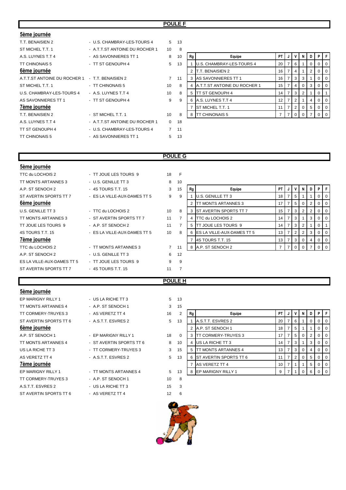### **POULE F**

| 5ème journée                 |                                |                 |              |    |                                     |                 |                |                |                |   |                |     |
|------------------------------|--------------------------------|-----------------|--------------|----|-------------------------------------|-----------------|----------------|----------------|----------------|---|----------------|-----|
| T.T. BENAISIEN 2             | - U.S. CHAMBRAY-LES-TOURS 4    |                 | 5 13         |    |                                     |                 |                |                |                |   |                |     |
| ST MICHEL T.T. 1             | - A.T.T.ST ANTOINE DU ROCHER 1 | 10              | -8           |    |                                     |                 |                |                |                |   |                |     |
| A.S. LUYNES T.T 4            | - AS SAVONNIERES TT 1          | 8               | 10           | Rg | Equipe                              | PT              |                | νı             |                | D | PIF            |     |
| TT CHINONAIS 5               | - TT ST GENOUPH 4              | 5 <sup>5</sup>  | 13           |    | U.S. CHAMBRAY-LES-TOURS 4           | 20              |                | 6              |                |   |                |     |
| 6ème journée                 |                                |                 |              |    | T.T. BENAISIEN 2                    | 16              |                | 4              |                | 2 | 0              | - C |
| A.T.T.ST ANTOINE DU ROCHER 1 | - T.T. BENAISIEN 2             | $\overline{7}$  | 11           |    | AS SAVONNIERES TT 1                 | 16              | $\overline{7}$ | 3 I            | 3              |   | 0              | C   |
| ST MICHEL T.T. 1             | - TT CHINONAIS 5               | 10              | 8            |    | <b>A.T.T.ST ANTOINE DU ROCHER 1</b> | 15              |                | 4              |                | 3 |                |     |
| U.S. CHAMBRAY-LES-TOURS 4    | - A.S. LUYNES T.T 4            | 10 <sup>1</sup> | 8            | 5  | <b>ITT ST GENOUPH 4</b>             | 14              | $\overline{7}$ | 3 I            | 2 <sup>1</sup> |   | $\Omega$       |     |
| AS SAVONNIERES TT 1          | - TT ST GENOUPH 4              | 9               | 9            |    | A.S. LUYNES T.T 4                   | 12 <sup>2</sup> |                |                |                |   |                |     |
| 7ème journée                 |                                |                 |              |    | <b>ST MICHEL T.T. 1</b>             | 11              | $\overline{7}$ | 2 <sup>1</sup> | 0 <sup>1</sup> | 5 | 0 <sub>0</sub> |     |
| T.T. BENAISIEN 2             | - ST MICHEL T.T. 1             | 10              | 8            | 8  | <b>ITT CHINONAIS 5</b>              | $\overline{7}$  | $\overline{7}$ | $\Omega$       | $\Omega$       |   | 0 <sup>1</sup> |     |
| A.S. LUYNES T.T 4            | - A.T.T.ST ANTOINE DU ROCHER 1 |                 | $0$ 18       |    |                                     |                 |                |                |                |   |                |     |
| TT ST GENOUPH 4              | - U.S. CHAMBRAY-LES-TOURS 4    |                 | 7 11         |    |                                     |                 |                |                |                |   |                |     |
| TT CHINONAIS 5               | - AS SAVONNIERES TT 1          |                 | $5 \quad 13$ |    |                                     |                 |                |                |                |   |                |     |
|                              |                                |                 |              |    |                                     |                 |                |                |                |   |                |     |

| 8  |    |                              |    |   |                |          |          |          |          |
|----|----|------------------------------|----|---|----------------|----------|----------|----------|----------|
| 10 | Rg | Equipe                       | PT | J | ν              | N        | D        | P        | F        |
| 13 |    | U.S. CHAMBRAY-LES-TOURS 4    | 20 | 7 | 6              | 1        | $\Omega$ | 0        | 0        |
|    | 2  | T.T. BENAISIEN 2             | 16 | 7 | 4              | 1        | 2        | $\Omega$ | 0        |
| 11 | 3  | AS SAVONNIERES TT 1          | 16 | 7 | 3              | 3        | 1        | $\Omega$ | 0        |
| 8  | 4  | A.T.T.ST ANTOINE DU ROCHER 1 | 15 | 7 | 4              | $\Omega$ | 3        | $\Omega$ | $\Omega$ |
| 8  | 5  | TT ST GENOUPH 4              | 14 | 7 | 3              | 2        | 1        | 0        |          |
| 9  | 6  | A.S. LUYNES T.T 4            | 12 | 7 | 2              | 1        | 4        | 0        | $\Omega$ |
|    | 7  | ST MICHEL T.T. 1             | 11 | 7 | $\overline{2}$ | $\Omega$ | 5        | $\Omega$ | 0        |
| 8  | 8  | <b>TT CHINONAIS 5</b>        | 7  |   | 0              | $\Omega$ |          | 0        | U        |

### **POULE G**

| 5ème journée               |                              |                |                |                |                                   |    |                |                |   |                |                |                |
|----------------------------|------------------------------|----------------|----------------|----------------|-----------------------------------|----|----------------|----------------|---|----------------|----------------|----------------|
| TTC du LOCHOIS 2           | - TT JOUE LES TOURS 9        | 18             | F              |                |                                   |    |                |                |   |                |                |                |
| TT MONTS ARTANNES 3        | - U.S. GENILLE TT 3          | 8              | 10             |                |                                   |    |                |                |   |                |                |                |
| A.P. ST SENOCH 2           | - 4S TOURS T.T. 15           | 3              | 15             | Rg             | Equipe                            | PT | J              | V              | N | D              | P              |                |
| ST AVERTIN SPORTS TT 7     | - ES LA VILLE-AUX-DAMES TT 5 | 9              | 9              |                | <b>U.S. GENILLE TT 3</b>          | 18 |                | 5              |   |                | $\circ$        | $\overline{0}$ |
| 6ème journée               |                              |                |                | 2              | TT MONTS ARTANNES 3               | 17 | $\overline{7}$ | 5 <sub>5</sub> | 0 | $\overline{2}$ | $\overline{0}$ | $\overline{0}$ |
| U.S. GENILLE TT 3          | - TTC du LOCHOIS 2           | 10             | 8              |                | 3 ST AVERTIN SPORTS TT 7          | 15 |                | 3              | 2 | 2              | $\overline{0}$ | $\overline{0}$ |
| TT MONTS ARTANNES 3        | - ST AVERTIN SPORTS TT 7     | 11             | $\overline{7}$ | 4 I            | TTC du LOCHOIS 2                  | 14 |                | 3              |   | 3              | 0              | $\mathbf 0$    |
| TT JOUE LES TOURS 9        | - A.P. ST SENOCH 2           | 11             | $\overline{7}$ | 5 <sup>1</sup> | TT JOUE LES TOURS 9               | 14 |                | 3              | 2 |                | 0              |                |
| 4S TOURS T.T. 15           | - ES LA VILLE-AUX-DAMES TT 5 | 10             | 8              | 6              | <b>ES LA VILLE-AUX-DAMES TT 5</b> | 13 | 7              | $2^{\circ}$    | 2 | 3              | $\overline{0}$ | $\overline{0}$ |
| 7ème journée               |                              |                |                |                | 4S TOURS T.T. 15                  | 13 |                | 3              | 0 | 4              | $\mathbf 0$    | $\overline{0}$ |
| TTC du LOCHOIS 2           | - TT MONTS ARTANNES 3        | $\overline{7}$ | 11             |                | 8 A.P. ST SENOCH 2                | 7  | $\overline{7}$ | $\mathbf 0$    | 0 |                | 0              | $\overline{0}$ |
| A.P. ST SENOCH 2           | - U.S. GENILLE TT 3          | 6              | 12             |                |                                   |    |                |                |   |                |                |                |
| ES LA VILLE-AUX-DAMES TT 5 | - TT JOUE LES TOURS 9        | 9              | 9              |                |                                   |    |                |                |   |                |                |                |
| ST AVERTIN SPORTS TT 7     | - 4S TOURS T.T. 15           | 11             | $\overline{7}$ |                |                                   |    |                |                |   |                |                |                |
|                            |                              | POULE H        |                |                |                                   |    |                |                |   |                |                |                |

### **5ème journée**

EP MARIGNY RILLY 1 - US LA RICHE TT 3 5 13 TT MONTS ARTANNES 4 - A.P. ST SENOCH 1 3 15 6ème journée **7ème journée** 

TT CORMERY-TRUYES 3 - AS VERETZ TT 4 16 ST AVERTIN SPORTS TT 6  $-$  A.S.T.T. ESVRES 2 5 A.P. ST SENOCH 1 - EP MARIGNY RILLY 1 3 18 TT MONTS ARTANNES 4 - ST AVERTIN SPORTS TT 6 2010 US LA RICHE TT 3  $\overline{3}$  - TT CORMERY-TRUYES 3 3 AS VERETZ TT 4  $-$  A.S.T.T. ESVRES 2 5 EP MARIGNY RILLY 1 <sup>-</sup> TT MONTS ARTANNES 4 5 TT CORMERY-TRUYES 3 - A.P. ST SENOCH 1 10 8 A.S.T.T. ESVRES 2 - US LA RICHE TT 3 15 3

- 
- ST AVERTIN SPORTS TT 6 AS VERETZ TT 4 12 6

| 2        | Rg | Equipe                 | PT | J | ٧ | N | D | Ρ | F        |
|----------|----|------------------------|----|---|---|---|---|---|----------|
| 13       |    | A.S.T.T. ESVRES 2      | 20 | 7 | 6 |   | 0 | 0 | 0        |
|          | 2  | A.P. ST SENOCH 1       | 18 | 7 | 5 | 1 |   | 0 | $\Omega$ |
| $\Omega$ | 3  | TT CORMERY-TRUYES 3    | 17 | 7 | 5 | 0 | 2 | 0 | $\Omega$ |
| 10       | 4  | US LA RICHE TT 3       | 14 | 7 | 3 | 1 | 3 | 0 | $\Omega$ |
| 15       | 5  | TT MONTS ARTANNES 4    | 13 | 7 | 3 | 0 | 4 | 0 | 0        |
| 13       | 6  | ST AVERTIN SPORTS TT 6 | 11 | 7 | 2 | 0 | 5 | 0 | $\Omega$ |
|          | 7  | AS VERETZ TT 4         | 10 | 7 | 1 |   | 5 | 0 | $\Omega$ |
| 13       | 8  | EP MARIGNY RILLY 1     | 9  | 7 |   |   | 6 |   |          |

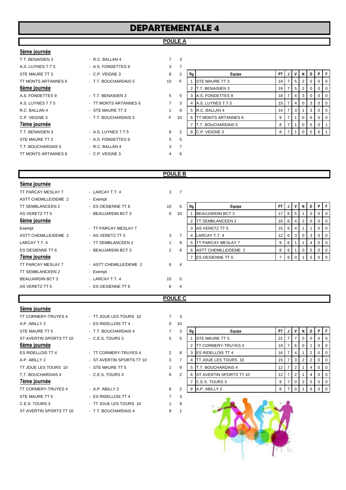# **DEPARTEMENTALE 4**

### **POULE A**

### **5ème journée**

**7ème journée** 

T.T. BENAISIEN 3 - R.C. BALLAN 4 7 3 A.S. LUYNES T.T 5 A.S. FONDETTES 9 3 STE MAURE TT 3 - C.P. VEIGNE 3 8 2 **Rg Equipe PT J V N D P F** TT MONTS ARTANNES 6 - T.T. BOUCHARDAIS 5 10 A.S. FONDETTES 9 **FLATE** 1 3 3 5 A.S. LUYNES T.T 5 TT MONTS ARTANNES 6 3 4 A.S. LUYNES T.T 5 R.C. BALLAN 4 **- STE MAURE TT 3** 1 C.P. VEIGNE 3 **FILO 6 T.T. BOUCHARDAIS 5** T.T. BENAISIEN 3 - A.S. LUYNES T.T 5 8 2 8 C.P. VEIGNE 3 8 7 1 0 5 0 1 STE MAURE TT 3 A.S. FONDETTES 9 5 5 T.T. BOUCHARDAIS 5 - R.C. BALLAN 4 3 7 TT MONTS ARTANNES 6 - C.P. VEIGNE 3 4 6

| A.S. LUYNES T.T 5   | - A.S. FONDETTES 9    | 3  |    |    |                             |    |   |   |   |                |     |
|---------------------|-----------------------|----|----|----|-----------------------------|----|---|---|---|----------------|-----|
| STE MAURE TT 3      | $-$ C.P. VEIGNE 3     | 8  | 2  | Rg | Equipe                      | PT |   | N | D |                |     |
| TT MONTS ARTANNES 6 | - T.T. BOUCHARDAIS 5  | 10 | F  |    | <b>ISTE MAURE TT 3</b>      | 19 | 5 |   |   |                | 0 I |
| 6ème journée        |                       |    |    |    | <b>IT.T. BENAISIEN 3</b>    | 19 | 5 |   |   |                | l O |
| A.S. FONDETTES 9    | - T.T. BENAISIEN 3    | 5  | 5  | 3  | A.S. FONDETTES 9            | 18 |   | 3 |   |                | 0 I |
| A.S. LUYNES T.T 5   | - TT MONTS ARTANNES 6 |    | 3  | 4  | A.S. LUYNES T.T 5           | 15 |   |   |   |                | 0 I |
| R.C. BALLAN 4       | - STE MAURE TT 3      |    | 9  | 5  | R.C. BALLAN 4               | 14 | 3 |   | 3 | 0 <sub>0</sub> |     |
| C.P. VEIGNE 3       | - T.T. BOUCHARDAIS 5  | F. | 10 | 6  | <b>ITT MONTS ARTANNES 6</b> | 9  |   |   |   |                | l O |
| 7ème journée        |                       |    |    |    | <b>T.T. BOUCHARDAIS 5</b>   | 8  |   |   |   |                |     |
| T.T. BENAISIEN 3    | $-$ A.S. LUYNES T.T 5 | 8  | 2  | 8  | C.P. VEIGNE 3               | 8  |   |   |   |                |     |
| ---  -- -           | 1.07721177777784      |    |    |    |                             |    |   |   |   |                |     |

### **POULE B**

| 5ème journée              |                        |              |                |    |                            |           |                |   |                |                |         |     |
|---------------------------|------------------------|--------------|----------------|----|----------------------------|-----------|----------------|---|----------------|----------------|---------|-----|
| TT PARCAY MESLAY 7        | - LARCAY T.T. 4        | $\mathbf{3}$ | $\overline{7}$ |    |                            |           |                |   |                |                |         |     |
| ASTT CHEMILLE/DEME 2      | - Exempt               |              |                |    |                            |           |                |   |                |                |         |     |
| TT SEMBLANCEEN 2          | - ES OESIENNE TT 6     | 10           | $\Omega$       | Rg | Equipe                     | <b>PT</b> | J              | V | N              | D I            | P       | IF. |
| AS VERETZ TT 5            | - BEAUJARDIN BCT 3     | $\mathbf{0}$ | 10             |    | <b>BEAUJARDIN BCT 3</b>    | 17        | 6              | 5 |                | 0 <sup>1</sup> | $0$   0 |     |
| 6ème journée              |                        |              |                |    | <b>TT SEMBLANCEEN 2</b>    | 16        | 6 <sup>°</sup> | 4 | $\overline{2}$ | $\overline{0}$ | $0$   0 |     |
| Exempt                    | - TT PARCAY MESLAY 7   |              |                |    | 3 AS VERETZ TT 5           | 15        | . 6            | 4 |                |                | $0$   0 |     |
| ASTT CHEMILLE/DEME 2      | - AS VERETZ TT 5       | 3            |                | 4  | LARCAY T.T. 4              | 12        | 6              | 3 | $\mathbf{0}$   | 3 <sup>1</sup> | $0$   0 |     |
| LARCAY T.T. 4             | - TT SEMBLANCEEN 2     |              | 9              | 5  | <b>ITT PARCAY MESLAY 7</b> | 9         | 6              |   |                | 4              | $0$   0 |     |
| ES OESIENNE TT 6          | - BEAUJARDIN BCT 3     | 2            | 8              | 6  | ASTT CHEMILLE/DEME 2       | 8         | 6              |   | 0              | 5 <sup>5</sup> | $0$   0 |     |
| 7ème journée              |                        |              |                | 7  | <b>ES OESIENNE TT 6</b>    |           | 6              | 0 |                | 5 <sup>5</sup> | $0$   0 |     |
| <b>TT PARCAY MESLAY 7</b> | - ASTT CHEMILLE/DEME 2 | 6            | -4             |    |                            |           |                |   |                |                |         |     |
| TT SEMBLANCEEN 2          | - Exempt               |              |                |    |                            |           |                |   |                |                |         |     |
| <b>BEAUJARDIN BCT 3</b>   | - LARCAY T.T. 4        | 10           | $\Omega$       |    |                            |           |                |   |                |                |         |     |
| AS VERETZ TT 5            | - ES OESIENNE TT 6     | 6            | 4              |    |                            |           |                |   |                |                |         |     |
|                           |                        |              |                |    |                            |           |                |   |                |                |         |     |

### **POULE C**

### **5ème journée**

TT CORMERY-TRUYES 4 - TT JOUE LES TOURS 10 7 3 A.P. ABILLY 2 - ES RIDELLOIS TT 4 0 10 STE MAURE TT 5 **FILTE BOUCHARDAIS 4** 7 ST AVERTIN SPORTS TT 10 - C.E.S. TOURS 3 5 6ème journée ES RIDELLOIS TT 4  $\qquad \qquad$  - TT CORMERY-TRUYES 4  $\qquad \qquad$  2 TT JOUE LES TOURS 10 - STE MAURE TT 5 1 9 1 T.T. BOUCHARDAIS 4 - C.E.S. TOURS 3 8 TT CORMERY-TRUYES 4 - A.P. ABILLY 2 8 STE MAURE TT 5 - ES RIDELLOIS TT 4 7 3 C.E.S. TOURS 3 - TT JOUE LES TOURS 10 1 9

ST AVERTIN SPORTS TT 10 - T.T. BOUCHARDAIS 4 9 1

| T.T. BOUCHARDAIS 4       |
|--------------------------|
| C.E.S. TOURS 3           |
|                          |
| TT CORMERY-TRUYES 4      |
| ST AVERTIN SPORTS TT 10  |
| STE MAURE TT 5           |
| C F S TOURS 3            |
|                          |
| AP ABILLY <sub>2</sub>   |
| <b>FS RIDELLOIS TT 4</b> |
| TT JOUF LES TOURS 10     |
|                          |

| A.F. ADILLI Z           | - EO NIVELLVIO I I 4      |              | 1 U            |    |                              |                 |    |   |   |                  |
|-------------------------|---------------------------|--------------|----------------|----|------------------------------|-----------------|----|---|---|------------------|
| STE MAURE TT 5          | - T.T. BOUCHARDAIS 4      |              | 3              | Rg | Equipe                       | PT I            |    | N | D | PF               |
| ST AVERTIN SPORTS TT 10 | $-C.E.S. TOURS3$          | 5            | 5              |    | <b>STE MAURE TT 5</b>        | 21              |    | 0 |   | $0$   $0$        |
| 6ème journée            |                           |              |                |    | <b>ITT CORMERY-TRUYES 4</b>  | 19 <sup>1</sup> | 6  |   |   | 0 <sub>0</sub>   |
| ES RIDELLOIS TT 4       | - TT CORMERY-TRUYES 4     | $\mathbf{2}$ | 8              |    | 3 <b>IES RIDELLOIS TT 4</b>  | 16 I            |    |   |   | $01$ 0           |
| A.P. ABILLY 2           | - ST AVERTIN SPORTS TT 10 | 3            |                | 4  | <b>ITT JOUE LES TOURS 10</b> | 15 I            | -3 |   |   | $0$   $0$        |
| TT JOUE LES TOURS 10    | - STE MAURE TT 5          |              | 9              | 5  | <b>IT.T. BOUCHARDAIS 4</b>   |                 |    |   |   | $0$   $0$        |
| T.T. BOUCHARDAIS 4      | $-C.E.S. TOURS3$          | 8            | $\overline{2}$ |    | 6 IST AVERTIN SPORTS TT 10   | 12 I            |    |   |   | 0 <sub>0</sub>   |
| 7ème journée            |                           |              |                |    | C.E.S. TOURS 3               | 9               |    |   | 5 | $0$   $0$        |
| TT CORMERY-TRUYES 4     | $-$ A.P. ABILLY 2         | 8            | っ              |    | 8 A.P. ABILLY 2              |                 |    |   |   | $\overline{1}$ 0 |
|                         |                           |              |                |    |                              |                 |    |   |   |                  |

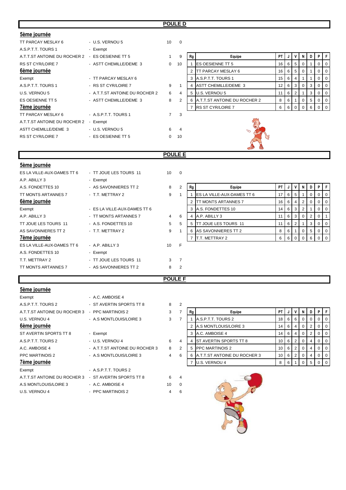### **POULE D**

| 5ème journée                                    |                                |                |                          |    |                              |           |   |                |                |                |    |  |
|-------------------------------------------------|--------------------------------|----------------|--------------------------|----|------------------------------|-----------|---|----------------|----------------|----------------|----|--|
| TT PARCAY MESLAY 6                              | - U.S. VERNOU 5                | 10             | $\overline{\phantom{0}}$ |    |                              |           |   |                |                |                |    |  |
| A.S.P.T.T. TOURS 1                              | - Exempt                       |                |                          |    |                              |           |   |                |                |                |    |  |
| A.T.T.ST ANTOINE DU ROCHER 2 - ES OESIENNE TT 5 |                                |                | 9                        | Rg | Equipe                       | <b>PT</b> |   | $\mathsf{V}$   | N.             | D I            | P. |  |
| <b>RS ST CYR/LOIRE 7</b>                        | - ASTT CHEMILLE/DEME 3         | $\Omega$       | 10                       |    | <b>ES OESIENNE TT 5</b>      | 16        | 6 | 5              | $\mathbf{0}$   |                |    |  |
| 6ème journée                                    |                                |                |                          |    | <b>TT PARCAY MESLAY 6</b>    | 16        | 6 | 5              | $\mathbf{0}$   |                |    |  |
| Exempt                                          | - TT PARCAY MESLAY 6           |                |                          | 3  | A.S.P.T.T. TOURS 1           | 15        | 6 | 4              |                |                |    |  |
| A.S.P.T.T. TOURS 1                              | - RS ST CYR/LOIRE 7            | 9              |                          | 4  | ASTT CHEMILLE/DEME 3         | 12        | 6 | $\mathbf{3}$   | $\overline{0}$ | 3 <sup>1</sup> | 0  |  |
| U.S. VERNOU 5                                   | - A.T.T.ST ANTOINE DU ROCHER 2 | 6              | 4                        | -5 | U.S. VERNOU 5                | 11        | 6 | $\overline{2}$ |                | 3 <sup>1</sup> |    |  |
| ES OESIENNE TT 5                                | - ASTT CHEMILLE/DEME 3         | 8              | 2                        |    | A.T.T.ST ANTOINE DU ROCHER 2 | 8         | 6 |                | $\mathbf{0}$   | 5 <sup>5</sup> |    |  |
| 7ème journée                                    |                                |                |                          |    | <b>RS ST CYR/LOIRE 7</b>     | 6         | 6 | $\overline{0}$ | $\Omega$       | 6              |    |  |
| TT PARCAY MESLAY 6                              | - A.S.P.T.T. TOURS 1           | $\overline{7}$ | 3                        |    |                              |           |   |                |                |                |    |  |
| A.T.T.ST ANTOINE DU ROCHER 2                    | - Exempt                       |                |                          |    |                              |           |   |                |                |                |    |  |
| ASTT CHEMILLE/DEME 3                            | - U.S. VERNOU 5                | 6              | $\overline{4}$           |    | $\gamma$                     |           |   |                |                |                |    |  |
| <b>RS ST CYR/LOIRE 7</b>                        | - ES OESIENNE TT 5             | $\Omega$       | 10                       |    |                              |           |   |                |                |                |    |  |
|                                                 |                                |                |                          |    |                              |           |   |                |                |                |    |  |

### **POULE E**

| 5ème journée               |                              |                 |                |    |                                    |    |   |                |                |                   |          |    |
|----------------------------|------------------------------|-----------------|----------------|----|------------------------------------|----|---|----------------|----------------|-------------------|----------|----|
| ES LA VILLE-AUX-DAMES TT 6 | - TT JOUE LES TOURS 11       | 10 <sup>1</sup> | $\Omega$       |    |                                    |    |   |                |                |                   |          |    |
| A.P. ABILLY 3              | - Exempt                     |                 |                |    |                                    |    |   |                |                |                   |          |    |
| A.S. FONDETTES 10          | - AS SAVONNIERES TT 2        | 8               | 2              | Rg | Equipe                             | PT |   | v              | N I            | $\cdot$ D $\cdot$ | PIF      |    |
| TT MONTS ARTANNES 7        | - T.T. METTRAY 2             | 9               |                |    | <b>IES LA VILLE-AUX-DAMES TT 6</b> | 17 | 6 | 5              |                | 0                 |          |    |
| 6ème journée               |                              |                 |                |    | 2 TT MONTS ARTANNES 7              | 16 | 6 | $\overline{4}$ | 2 <sup>1</sup> | $\mathbf{0}$      | 0        | -0 |
| Exempt                     | - ES LA VILLE-AUX-DAMES TT 6 |                 |                |    | 3 A.S. FONDETTES 10                | 14 | 6 | 3              | $2^{\circ}$    |                   | 0        |    |
| A.P. ABILLY 3              | - TT MONTS ARTANNES 7        | $\overline{4}$  | 6              |    | 4 A.P. ABILLY 3                    | 11 | 6 | 3              | $\overline{0}$ | 2                 | $\Omega$ |    |
| TT JOUE LES TOURS 11       | - A.S. FONDETTES 10          | $5^{\circ}$     | 5              | 5. | <b>ITT JOUE LES TOURS 11</b>       | 11 | 6 | 2              |                | 3                 |          |    |
| AS SAVONNIERES TT 2        | - T.T. METTRAY 2             | 9               |                |    | 6 AS SAVONNIERES TT 2              | 8  | 6 |                | $\overline{0}$ | 5                 | 0        | -0 |
| <b>7ème journée</b>        |                              |                 |                |    | <b>IT.T. METTRAY 2</b>             | 6  | 6 | $\overline{0}$ | $\Omega$       | 6                 |          |    |
| ES LA VILLE-AUX-DAMES TT 6 | - A.P. ABILLY 3              | 10              | E              |    |                                    |    |   |                |                |                   |          |    |
| A.S. FONDETTES 10          | - Exempt                     |                 |                |    |                                    |    |   |                |                |                   |          |    |
| T.T. METTRAY 2             | - TT JOUE LES TOURS 11       | 3               | $\overline{7}$ |    |                                    |    |   |                |                |                   |          |    |
| TT MONTS ARTANNES 7        | - AS SAVONNIERES TT 2        | 8               | 2              |    |                                    |    |   |                |                |                   |          |    |

| Rg | Equipe                     | РT | J | ν | N        | D              | Р | F        |
|----|----------------------------|----|---|---|----------|----------------|---|----------|
| 1  | ES LA VILLE-AUX-DAMES TT 6 | 17 | 6 | 5 |          | ი              | Ω | $\Omega$ |
| 2  | TT MONTS ARTANNES 7        | 16 | 6 | 4 | 2        | 0              |   |          |
| 3  | A.S. FONDETTES 10          | 14 | 6 | 3 | 2        |                |   | $\Omega$ |
| 4  | A.P. ABILLY 3              | 11 | 6 | 3 | $\Omega$ | $\overline{2}$ | O |          |
| 5  | TT JOUE LES TOURS 11       | 11 | 6 | 2 |          | 3              |   |          |
| 6  | AS SAVONNIERES TT 2        | 8  | 6 |   | ŋ        | 5              |   | $\Omega$ |
|    | T.T. METTRAY 2             | 6  | 6 |   |          | 6              |   |          |

**POULE F**

### **5ème journée**

| Exempt                       | - A.C. AMBOISE 4               |    |                |    |                               |           |     |                |                |   |   |  |
|------------------------------|--------------------------------|----|----------------|----|-------------------------------|-----------|-----|----------------|----------------|---|---|--|
| A.S.P.T.T. TOURS 2           | - ST AVERTIN SPORTS TT 8       | 8  | 2              |    |                               |           |     |                |                |   |   |  |
| A.T.T.ST ANTOINE DU ROCHER 3 | - PPC MARTINOIS 2              | 3  |                | Rg | Equipe                        | <b>PT</b> |     |                | N I            | D | P |  |
| U.S. VERNOU 4                | - A.S MONTLOUIS/LOIRE 3        | 3  | 7              |    | A.S.P.T.T. TOURS 2            | 18        | 6   | 6              |                |   |   |  |
| 6ème journée                 |                                |    |                |    | A.S MONTLOUIS/LOIRE 3         | 14        | -6  | $\overline{4}$ | $\overline{0}$ |   |   |  |
| ST AVERTIN SPORTS TT 8       | - Exempt                       |    |                |    | A.C. AMBOISE 4                | 14        | - 6 | 4              | 0 <sup>1</sup> |   |   |  |
| A.S.P.T.T. TOURS 2           | - U.S. VERNOU 4                | 6  | 4              |    | <b>ST AVERTIN SPORTS TT 8</b> | 10        | 6   |                |                |   |   |  |
| A.C. AMBOISE 4               | - A.T.T.ST ANTOINE DU ROCHER 3 | 8  | $\overline{2}$ |    | <b>PPC MARTINOIS 2</b>        | 10        | . 6 | 2              | $\overline{0}$ | 4 |   |  |
| PPC MARTINOIS 2              | - A.S MONTLOUIS/LOIRE 3        | 4  | 6              |    | A.T.T.ST ANTOINE DU ROCHER 3  | 10        | - 6 | 2              | 0              |   |   |  |
| 7ème journée                 |                                |    |                |    | U.S. VERNOU 4                 | 8         |     |                |                |   |   |  |
| Exempt                       | - A.S.P.T.T. TOURS 2           |    |                |    |                               |           |     |                |                |   |   |  |
| A.T.T.ST ANTOINE DU ROCHER 3 | - ST AVERTIN SPORTS TT 8       | 6  | 4              |    |                               |           |     |                |                |   |   |  |
| A.S MONTLOUIS/LOIRE 3        | - A.C. AMBOISE 4               | 10 | $\Omega$       |    |                               |           |     |                |                |   |   |  |
| U.S. VERNOU 4                | - PPC MARTINOIS 2              | 4  | 6              |    |                               |           |     |                |                |   |   |  |
|                              |                                |    |                |    |                               |           |     |                |                |   |   |  |

| ∠                       |    |                              |    |   |                |          |   |   |          |
|-------------------------|----|------------------------------|----|---|----------------|----------|---|---|----------|
| $\overline{7}$          | Rg | Equipe                       | PT |   | v              | N        | D | P | F        |
| $\overline{7}$          |    | A.S.P.T.T. TOURS 2           | 18 | 6 | 6              | 0        |   |   | 0        |
|                         | 2  | A.S MONTLOUIS/LOIRE 3        | 14 | 6 | 4              | $\Omega$ | 2 | 0 | 0        |
|                         | 3  | A.C. AMBOISE 4               | 14 | 6 | 4              | 0        | 2 | 0 | $\Omega$ |
| $\overline{\mathbf{4}}$ | 4  | ST AVERTIN SPORTS TT 8       | 10 | 6 | 2              | O        | 4 | O | O        |
| 2                       | 5  | <b>PPC MARTINOIS 2</b>       | 10 | 6 | $\overline{2}$ | 0        | 4 | O | 0        |
| 6                       | 6  | A.T.T.ST ANTOINE DU ROCHER 3 | 10 | 6 | 2              | 0        | 4 |   | $\Omega$ |
|                         |    | US VERNOU4                   | 8  | 6 |                |          | 5 |   |          |

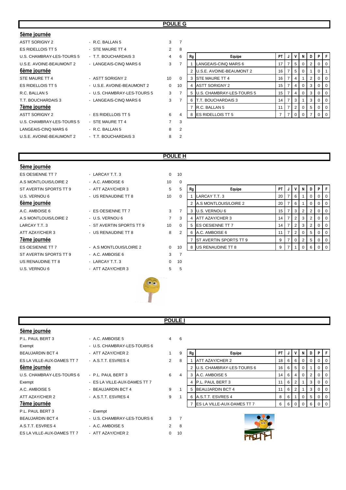### **POULE G**

| - R.C. BALLAN 5             | 3        | $\overline{7}$ |    |                           |                                                                                                                  |                |          |   |                                                                             |          |   |
|-----------------------------|----------|----------------|----|---------------------------|------------------------------------------------------------------------------------------------------------------|----------------|----------|---|-----------------------------------------------------------------------------|----------|---|
| - STE MAURE TT 4            | 2        | 8              |    |                           |                                                                                                                  |                |          |   |                                                                             |          |   |
| - T.T. BOUCHARDAIS 3        | 4        | 6              | Rg | Equipe                    | <b>PT</b>                                                                                                        | J              | v        |   | D                                                                           | PIF      |   |
| - LANGEAIS-CINQ MARS 6      | 3        | $\overline{7}$ |    | LANGEAIS-CINQ MARS 6      | 17                                                                                                               |                | 5        | 0 | 2                                                                           | 0        |   |
|                             |          |                |    |                           | 16                                                                                                               | 7              |          | 0 |                                                                             |          |   |
| - ASTT SORIGNY 2            | 10       | $\Omega$       |    | <b>STE MAURE TT 4</b>     | 16                                                                                                               |                | 4        |   | 2                                                                           |          |   |
| - U.S.E. AVOINE-BEAUMONT 2  | $\Omega$ | 10             |    | <b>ASTT SORIGNY 2</b>     | 15                                                                                                               |                | 4        |   | 3                                                                           | 0        |   |
| - U.S. CHAMBRAY-LES-TOURS 5 | 3        | $\overline{7}$ |    |                           | 15                                                                                                               |                | 4        |   | 3                                                                           | $\Omega$ | O |
| - LANGEAIS-CINQ MARS 6      | 3        | $\overline{7}$ |    | <b>T.T. BOUCHARDAIS 3</b> | 14                                                                                                               |                | 3        |   | 3                                                                           |          |   |
|                             |          |                |    |                           | 11                                                                                                               | $\overline{7}$ | 2        |   | 5                                                                           | $\Omega$ |   |
| - ES RIDELLOIS TT 5         | 6        | 4              | 8  |                           |                                                                                                                  | $\overline{7}$ | $\Omega$ | 0 |                                                                             |          |   |
| - STE MAURE TT 4            | 7        | 3              |    |                           |                                                                                                                  |                |          |   |                                                                             |          |   |
| - R.C. BALLAN 5             | 8        | $\overline{2}$ |    |                           |                                                                                                                  |                |          |   |                                                                             |          |   |
| - T.T. BOUCHARDAIS 3        | 8        | 2              |    |                           |                                                                                                                  |                |          |   |                                                                             |          |   |
|                             |          |                |    |                           | <b>U.S.E. AVOINE-BEAUMONT 2</b><br><b>U.S. CHAMBRAY-LES-TOURS 5</b><br>R.C. BALLAN 5<br><b>ES RIDELLOIS TT 5</b> |                |          |   | N I<br>5 <sup>5</sup><br>0 <sup>1</sup><br>0 <sup>1</sup><br>$\overline{0}$ |          |   |

| 8        |    |                           |    |   |                |          |   |          |          |
|----------|----|---------------------------|----|---|----------------|----------|---|----------|----------|
| 6        | Rg | Equipe                    | PT | J | ۷              | N        | D | P        |          |
| 7        |    | LANGEAIS-CINQ MARS 6      | 17 | 7 | 5              | $\Omega$ | 2 | 0        | O        |
|          | 2  | U.S.E. AVOINE-BEAUMONT 2  | 16 | 7 | 5              | $\Omega$ | 1 | 0        |          |
| $\Omega$ | 3  | <b>STE MAURE TT 4</b>     | 16 | 7 | 4              | 1        | 2 | 0        | 0        |
| 10       | 4  | <b>ASTT SORIGNY 2</b>     | 15 | 7 | 4              | $\Omega$ | 3 | 0        | O        |
| 7        | 5  | U.S. CHAMBRAY-LES-TOURS 5 | 15 | 7 | 4              | $\Omega$ | 3 | 0        | 0        |
| 7        | 6  | T.T. BOUCHARDAIS 3        | 14 | 7 | 3              | 1        | 3 | 0        | $\Omega$ |
|          | 7  | R.C. BALLAN 5             | 11 | 7 | $\overline{2}$ | $\Omega$ | 5 | $\Omega$ | $\Omega$ |
| 4        | 8  | <b>ES RIDELLOIS TT 5</b>  | 7  |   | 0              | $\Omega$ |   |          |          |

### **POULE H**

| 5ème journée           |                          |                |                |
|------------------------|--------------------------|----------------|----------------|
| ES OESIENNE TT 7       | - LARCAY T.T. 3          | $\Omega$       | 10             |
| A.S MONTLOUIS/LOIRE 2  | $-$ A.C. AMBOISE 6       | 10             | 0              |
| ST AVERTIN SPORTS TT 9 | - ATT AZAY/CHER 3        | 5              | 5              |
| U.S. VERNOU 6          | - US RENAUDINE TT 8      | 10             | 0              |
| 6ème journée           |                          |                |                |
| A.C. AMBOISE 6         | - ES OESIENNE TT 7       | 3              | $\overline{7}$ |
| A.S MONTLOUIS/LOIRE 2  | - U.S. VERNOU 6          | $\overline{7}$ | 3              |
| LARCAY T.T. 3          | - ST AVERTIN SPORTS TT 9 | 10             | 0              |
| ATT AZAY/CHER 3        | - US RENAUDINE TT 8      | 8              | $\overline{2}$ |
| <u>7ème journée</u>    |                          |                |                |
| ES OESIENNE TT 7       | - A.S MONTLOUIS/LOIRE 2  | $\Omega$       | 10             |
| ST AVERTIN SPORTS TT 9 | - A.C. AMBOISE 6         | 3              | $\overline{7}$ |
| US RENAUDINE TT 8      | - LARCAY T.T. 3          | $\Omega$       | 10             |
| U.S. VERNOU 6          | - ATT AZAY/CHER 3        | 5              | 5              |
|                        |                          |                |                |

| A.S MONTLOUIS/LOIRE 2  | - A.C. AMBOISE 6         | 10             | 0              |    |                                |    |   |   |     |     |
|------------------------|--------------------------|----------------|----------------|----|--------------------------------|----|---|---|-----|-----|
| ST AVERTIN SPORTS TT 9 | - ATT AZAY/CHER 3        | 5              | 5              | Rg | Equipe                         | PT |   |   | D I |     |
| U.S. VERNOU 6          | - US RENAUDINE TT 8      | 10             | 0              |    | LARCAY T.T. 3                  | 20 | 6 |   |     |     |
| 6ème journée           |                          |                |                |    | 2 A.S MONTLOUIS/LOIRE 2        | 20 | 6 |   |     |     |
| A.C. AMBOISE 6         | - ES OESIENNE TT 7       | 3              |                |    | 3 U.S. VERNOU 6                | 15 | 3 | 2 |     |     |
| A.S MONTLOUIS/LOIRE 2  | - U.S. VERNOU 6          | $\overline{7}$ | 3              |    | ATT AZAY/CHER 3                | 14 |   | 3 |     |     |
| LARCAY T.T. 3          | - ST AVERTIN SPORTS TT 9 | 10             | 0              |    | 5 <b>IES OESIENNE TT 7</b>     | 14 | 2 | 3 |     |     |
| ATT AZAY/CHER 3        | - US RENAUDINE TT 8      | 8              | $\overline{2}$ |    | 6 A.C. AMBOISE 6               | 11 | 2 |   | 5   |     |
| 7ème journée           |                          |                |                |    | <b>IST AVERTIN SPORTS TT 9</b> | 9  | 0 | 2 | 5   | IO. |
| ES OESIENNE TT 7       | - A.S MONTLOUIS/LOIRE 2  | 0              | 10             |    | 8 US RENAUDINE TT 8            | 9  |   |   | 6   |     |
|                        |                          |                |                |    |                                |    |   |   |     |     |



|--|

| 5ème journée               |                              |                |                |    |                                     |    |   |                |                |   |          |    |
|----------------------------|------------------------------|----------------|----------------|----|-------------------------------------|----|---|----------------|----------------|---|----------|----|
| P.L. PAUL BERT 3           | - A.C. AMBOISE 5             |                | $4\quad 6$     |    |                                     |    |   |                |                |   |          |    |
| Exempt                     | - U.S. CHAMBRAY-LES-TOURS 6  |                |                |    |                                     |    |   |                |                |   |          |    |
| <b>BEAUJARDIN BCT 4</b>    | - ATT AZAY/CHER 2            |                | 9              | Rg | Equipe                              | PT |   |                | N              |   | P I      |    |
| ES LA VILLE-AUX-DAMES TT 7 | - A.S.T.T. ESVRES 4          | $\overline{2}$ | 8              |    | ATT AZAY/CHER 2                     | 18 | 6 | 6              | $\overline{0}$ | 0 | 0        | -0 |
| 6ème journée               |                              |                |                |    | U.S. CHAMBRAY-LES-TOURS 6           | 16 | 6 | 5 <sup>5</sup> | $\overline{0}$ |   | $\Omega$ | O  |
| U.S. CHAMBRAY-LES-TOURS 6  | - P.L. PAUL BERT 3           | 6              | 4              |    | 3 A.C. AMBOISE 5                    | 14 | 6 | 4              | 0              | 2 | 0        | O  |
| Exempt                     | - ES LA VILLE-AUX-DAMES TT 7 |                |                |    | P.L. PAUL BERT 3                    | 11 | 6 | 2              |                | 3 | 0        | O  |
| A.C. AMBOISE 5             | - BEAUJARDIN BCT 4           | 9              |                |    | 5 BEAUJARDIN BCT 4                  | 11 | 6 | 2              |                | 3 | 0        |    |
| ATT AZAY/CHER 2            | - A.S.T.T. ESVRES 4          | 9              |                | 6  | A.S.T.T. ESVRES 4                   | 8  | 6 |                | $\overline{0}$ | 5 | 0        | O  |
| 7ème journée               |                              |                |                |    | 7 <b>ES LA VILLE-AUX-DAMES TT 7</b> | 6  | 6 | $\mathbf{0}$   | 0              | 6 |          |    |
| P.L. PAUL BERT 3           | - Exempt                     |                |                |    |                                     |    |   |                |                |   |          |    |
| <b>BEAUJARDIN BCT 4</b>    | - U.S. CHAMBRAY-LES-TOURS 6  | $3^{\circ}$    | $\overline{7}$ |    |                                     |    |   |                |                |   |          |    |
| A.S.T.T. ESVRES 4          | - A.C. AMBOISE 5             | $\mathbf{2}$   | 8              |    |                                     |    |   |                |                |   |          |    |
| ES LA VILLE-AUX-DAMES TT 7 | - ATT AZAY/CHER 2            | 0              | 10             |    |                                     |    |   |                |                |   |          |    |

| е хенірі                   | - U.S. CHAMBRAT-LES-TOURS 6  |   |   |    |                                  |                 |     |       |     |          |                |                |
|----------------------------|------------------------------|---|---|----|----------------------------------|-----------------|-----|-------|-----|----------|----------------|----------------|
| BEAUJARDIN BCT 4           | - ATT AZAY/CHER 2            |   | 9 | Rg | Equipe                           | PT.             |     | V I   | N   | D        | PIF            |                |
| ES LA VILLE-AUX-DAMES TT 7 | - A.S.T.T. ESVRES 4          |   | 8 |    | ATT AZAY/CHER 2                  | 18              | 6 I | l 6 I | - 0 | $\Omega$ | $01$ 0         |                |
| 6ème journée               |                              |   |   |    | U.S. CHAMBRAY-LES-TOURS 6        | 16 <sup>1</sup> |     | 6 5 1 |     |          |                | $\Omega$       |
| U.S. CHAMBRAY-LES-TOURS 6  | - P.L. PAUL BERT 3           | 6 | 4 |    | A.C. AMBOISE 5                   | 14              | 6 I | 4     |     |          | $01$ 0         |                |
| Exempt                     | - ES LA VILLE-AUX-DAMES TT 7 |   |   |    | <b>IP.L. PAUL BERT 3</b>         |                 | 6   |       |     | 3        |                | $\overline{0}$ |
| A.C. AMBOISE 5             | - BEAUJARDIN BCT 4           | 9 |   |    | 5 BEAUJARDIN BCT 4               |                 | 6 I |       |     | 3        |                | $01$ 0         |
| ATT AZAY/CHER 2            | - A.S.T.T. ESVRES 4          | 9 |   |    | A.S.T.T. ESVRES 4                |                 | 6   |       |     | 5        | 0 <sub>0</sub> |                |
| 7ème iournée               |                              |   |   |    | <b>ESIA VILLE-AUX-DAMES TT 7</b> |                 |     | 600   |     |          |                | $\Omega$       |



| × |  |
|---|--|
|   |  |
|   |  |
|   |  |
|   |  |
|   |  |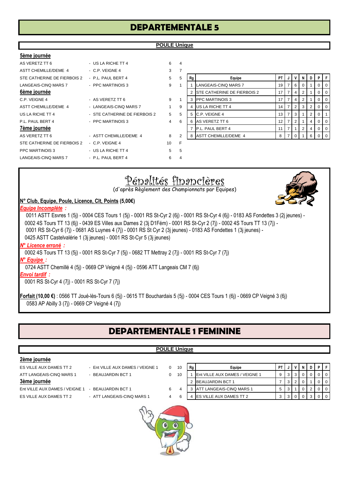| <b>DEPARTEMENTALE 5</b> |  |
|-------------------------|--|
|-------------------------|--|

| 5ème journée                |                               |   |                |
|-----------------------------|-------------------------------|---|----------------|
| AS VERETZ TT 6              | - US LA RICHE TT 4            | 6 | $\overline{4}$ |
| <b>ASTT CHEMILLE/DEME 4</b> | $-$ C.P. VEIGNE 4             | 3 | 7              |
| STE CATHERINE DE FIERBOIS 2 | - P.L. PAUL BERT 4            | 5 | 5              |
| LANGEAIS-CINO MARS 7        | - PPC MARTINOIS 3             | 9 | 1              |
| <u>6ème journée</u>         |                               |   |                |
| C.P. VEIGNE 4               | - AS VERETZ TT 6              | 9 | 1              |
| <b>ASTT CHEMILLE/DEME 4</b> | - LANGEAIS-CINO MARS 7        | 1 | 9              |
| US LA RICHE TT 4            | - STE CATHERINE DE FIERBOIS 2 | 5 | 5              |
| P.L. PAUL BERT 4            | - PPC MARTINOIS 3             | 4 | 6              |
|                             |                               |   |                |

AS VERETZ TT 6  $\overline{a}$  - ASTT CHEMILLE/DEME 4  $\overline{a}$  8 STE CATHERINE DE FIERBOIS 2 - C.P. VEIGNE 4 10 PPC MARTINOIS 3 - US LA RICHE TT 4 5 5 LANGEAIS-CINQ MARS 7 - P.L. PAUL BERT 4 6 4

| ASTT CHEMILLE/DEME 4        | $-$ C.P. VEIGNE 4             | 3              |   |    |                                     |                 |   |    |   |                |
|-----------------------------|-------------------------------|----------------|---|----|-------------------------------------|-----------------|---|----|---|----------------|
| STE CATHERINE DE FIERBOIS 2 | - P.L. PAUL BERT 4            | 5              | 5 | Rg | Equipe                              | PTIJ            |   | N  | D | PF             |
| LANGEAIS-CINQ MARS 7        | - PPC MARTINOIS 3             | 9              |   |    | LANGEAIS-CINQ MARS 7                | 19 I            | 6 | -0 |   | $0$   0        |
| 6ème journée                |                               |                |   |    | <b>ISTE CATHERINE DE FIERBOIS 2</b> |                 |   |    |   | 0   0          |
| C.P. VEIGNE 4               | - AS VERETZ TT 6              | 9              |   |    | <b>PPC MARTINOIS 3</b>              |                 | 4 |    |   | 0   0          |
| ASTT CHEMILLE/DEME 4        | - LANGEAIS-CINQ MARS 7        |                | 9 |    | US LA RICHE TT 4                    | 14 I            |   | 3  |   | $0$ 0          |
| US LA RICHE TT 4            | - STE CATHERINE DE FIERBOIS 2 | 5              | 5 |    | 5 C.P. VEIGNE 4                     | 13 <sub>1</sub> | 3 |    | 2 |                |
| P.L. PAUL BERT 4            | - PPC MARTINOIS 3             | $\overline{4}$ | 6 | 6  | AS VERETZ TT 6                      | 12 <sub>1</sub> |   |    | 4 | 0 <sup>1</sup> |
| 7ème journée                |                               |                |   |    | P.L. PAUL BERT 4                    |                 |   | 2  | 4 | $0\,$ l $0$    |
| AS VERETZ TT 6              | - ASTT CHEMILLE/DEME 4        | 8              | 2 | 8  | <b>ASTT CHEMILLE/DEME 4</b>         | 8               |   |    | 6 | $0$   0        |
| STE CATHERINE DE FIERBOIS 2 | $-$ C.P. VEIGNE 4             | 10             |   |    |                                     |                 |   |    |   |                |



0583 AP Abilly 3 (7j) - 0669 CP Veigné 4 (7j)

# **DEPARTEMENTALE 1 FEMININE**

### **POULE Unique**

| 2ème journée                   |                                  |   |           |    |                                |      |     |                |   |   |                |                  |
|--------------------------------|----------------------------------|---|-----------|----|--------------------------------|------|-----|----------------|---|---|----------------|------------------|
| ES VILLE AUX DAMES TT 2        | - Ent VILLE AUX DAMES / VEIGNE 1 | 0 | 10        | Rg | Equipe                         | PT I | J   |                |   | D | P              | F.               |
| ATT LANGEAIS-CINQ MARS 1       | - BEAUJARDIN BCT 1               | 0 | 10        |    | Ent VILLE AUX DAMES / VEIGNE 1 | 9    | 3   | 3              | 0 | 0 | 0              | $\overline{1}$ 0 |
| 3ème journée                   |                                  |   |           |    | <b>BEAUJARDIN BCT 1</b>        |      | 3   | $\overline{2}$ |   |   | 0              | $\overline{0}$   |
| Ent VILLE AUX DAMES / VEIGNE 1 | - BEAUJARDIN BCT 1               | 6 | 4         |    | ATT LANGEAIS-CINQ MARS 1       | 5    | 3   |                | 0 | 2 | 0 <sup>1</sup> | <b>0</b>         |
| ES VILLE AUX DAMES TT 2        | - ATT LANGEAIS-CINQ MARS 1       | 4 | 6         | 4  | ES VILLE AUX DAMES TT 2        | 3    | 3 I |                |   | 3 | 0              | $\overline{0}$   |
|                                |                                  | 0 | $\bullet$ |    |                                |      |     |                |   |   |                |                  |

## **POULE Unique**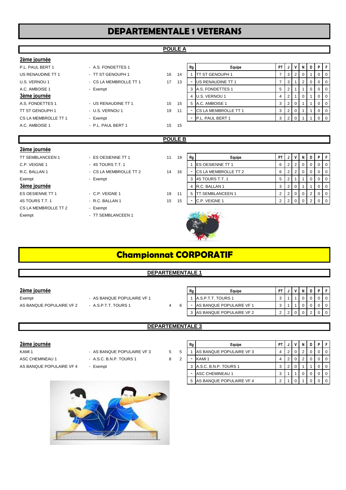# **DEPARTEMENTALE 1 VETERANS**

**POULE A**

| 2ème journée            |                        |    |                |                          |                          |                |                |   |                |   |          |             |                |
|-------------------------|------------------------|----|----------------|--------------------------|--------------------------|----------------|----------------|---|----------------|---|----------|-------------|----------------|
| P.L. PAUL BERT 1        | - A.S. FONDETTES 1     |    |                | Rg                       | Equipe                   | <b>PT</b>      | J              |   | V              | N | D        | P           | $\mathsf F$    |
| US RENAUDINE TT 1       | - TT ST GENOUPH 1      | 16 | 14             |                          | <b>TT ST GENOUPH 1</b>   | $\overline{7}$ | 3              |   | 2              | 0 |          | 0           | 0              |
| U.S. VERNOU 1           | - CS LA MEMBROLLE TT 1 | 17 | 13             | ۰.                       | <b>US RENAUDINE TT 1</b> | 7              | 3              |   |                | 2 | $\Omega$ | 0           | $\overline{0}$ |
| A.C. AMBOISE 1          | - Exempt               |    |                | 3                        | A.S. FONDETTES 1         | 5              | $\overline{2}$ | 1 |                |   | 0        | $\mathbf 0$ | $\overline{0}$ |
| 3ème journée            |                        |    |                | 4                        | U.S. VERNOU 1            | 4              | 2              |   |                | 0 |          | 0           | $\mathbf 0$    |
| A.S. FONDETTES 1        | - US RENAUDINE TT 1    | 15 | 15             | 5                        | A.C. AMBOISE 1           | 3              | $\overline{2}$ |   | 0              |   |          | 0           | $\mathbf 0$    |
| TT ST GENOUPH 1         | - U.S. VERNOU 1        | 19 | 11             |                          | CS LA MEMBROLLE TT 1     | 3              | $\overline{2}$ |   | $\mathbf 0$    |   |          | 0           | $\overline{0}$ |
| CS LA MEMBROLLE TT 1    | - Exempt               |    |                | $\overline{\phantom{a}}$ | P.L. PAUL BERT 1         | 3              | $\overline{2}$ |   | 0              |   |          | 0           | $\overline{0}$ |
| A.C. AMBOISE 1          | - P.L. PAUL BERT 1     | 15 | 15             |                          |                          |                |                |   |                |   |          |             |                |
|                         |                        |    |                |                          |                          |                |                |   |                |   |          |             |                |
|                         |                        |    |                |                          |                          |                |                |   |                |   |          |             |                |
|                         |                        |    | <b>POULE B</b> |                          |                          |                |                |   |                |   |          |             |                |
| <u>2ème journée</u>     |                        |    |                |                          |                          |                |                |   |                |   |          |             |                |
| <b>TT SEMBLANCEEN 1</b> | - ES OESIENNE TT 1     | 11 | 19             | Rg                       | Equipe                   | <b>PT</b>      |                |   | V              | N | D        | P           | F              |
| C.P. VEIGNE 1           | $-4S$ TOURS T.T. 1     |    |                |                          | <b>ES OESIENNE TT 1</b>  | 6              | $\overline{2}$ |   | $\overline{2}$ | 0 | $\Omega$ | 0           | 0              |
| R.C. BALLAN 1           | - CS LA MEMBROLLE TT 2 | 14 | 16             |                          | CS LA MEMBROLLE TT 2     | 6              | $\overline{2}$ |   | $\overline{2}$ | 0 | $\Omega$ | 0           | $\mathbf 0$    |
| Exempt                  | - Exempt               |    |                | 3                        | 4S TOURS T.T. 1          | 5              | $\overline{2}$ | 1 |                |   | $\Omega$ | 0           | $\mathbf 0$    |
| 3ème journée            |                        |    |                | 4                        | R.C. BALLAN 1            | 3              | 2              |   | 0              |   |          | 0           | $\overline{0}$ |
| ES OESIENNE TT 1        | - C.P. VEIGNE 1        | 19 | 11             | 5                        | <b>TT SEMBLANCEEN 1</b>  | $\overline{2}$ | $\overline{2}$ |   | 0              | 0 | 2        | 0           | $\overline{0}$ |
| 4S TOURS T.T. 1         | - R.C. BALLAN 1        | 15 | 15             | $\blacksquare$           | C.P. VEIGNE 1            | 2              | $\overline{2}$ |   | $\Omega$       | 0 | 2        | 0           | $\overline{0}$ |
| CS LA MEMBROLLE TT 2    | - Exempt               |    |                |                          |                          |                |                |   |                |   |          |             |                |

# **Championnat CORPORATIF**

### **DEPARTEMENTALE 1**

### **2ème journée**

Exempt - AS BANQUE POPULAIRE VF 1 AS BANQUE POPULAIRE VF 2 - A.S.P.T.T. TOURS 1 4 6

| Rg | Equipe                          | <b>PT</b>         |  | N |  |  |
|----|---------------------------------|-------------------|--|---|--|--|
|    | A.S.P.T.T. TOURS 1              | $\mathbf{\Omega}$ |  |   |  |  |
|    | <b>AS BANQUE POPULAIRE VF 1</b> | 3                 |  |   |  |  |
| ঽ  | AS BANQUE POPULAIRE VF 2        | C                 |  |   |  |  |

### **DEPARTEMENTALE 3**

### **2ème journée**

KAMI 1 **AS BANQUE POPULAIRE VF 3** 4 3 2 3 4 2 2 2 2 3 4 2 3 4 2 3 4 2 3 4 2 3 4 2 3 4 2 3 4 2 3 4 2 3 4 2 3 4 2 3 4 2 3 4 2 3 4 2 3 4  $\pm$ ASC CHEMINEAU 1 - A.S.C. B.N.P. TOURS 1 8 2 AS BANQUE POPULAIRE VF 4 - Exempt



|   | Rg | Equipe                   | РT |   |   | N | D | D |  |
|---|----|--------------------------|----|---|---|---|---|---|--|
| 5 |    | AS BANQUE POPULAIRE VF 3 | 4  | 2 | 0 | っ | O |   |  |
|   | -  | KAMI <sub>1</sub>        | 4  | 2 | 0 | 2 | 0 |   |  |
|   | 3  | A.S.C. B.N.P. TOURS 1    | 3  | 2 | 0 |   |   |   |  |
|   | -  | <b>ASC CHEMINEAU 1</b>   | 3  | 1 |   | 0 | 0 |   |  |
|   | 5  | AS BANQUE POPULAIRE VF 4 | 2  |   |   |   |   |   |  |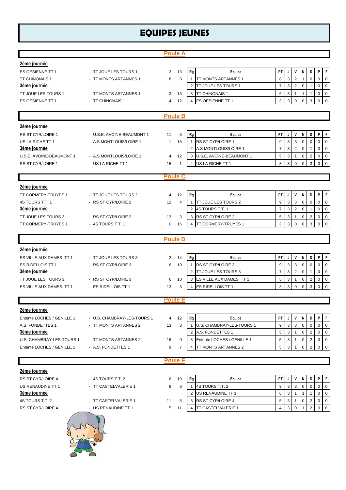# **EQUIPES JEUNES**

|                                                  |                                              | <b>Poule A</b>                 |                                                                            |                                                                                                                                                                                 |
|--------------------------------------------------|----------------------------------------------|--------------------------------|----------------------------------------------------------------------------|---------------------------------------------------------------------------------------------------------------------------------------------------------------------------------|
| 2ème journée                                     |                                              |                                |                                                                            |                                                                                                                                                                                 |
| ES OESIENNE TT 1                                 | - TT JOUE LES TOURS 1                        | 13<br>3                        | Rg<br>Equipe                                                               | P<br>$\mathsf F$<br>PT<br>V<br>N<br>D<br>J                                                                                                                                      |
| TT CHINONAIS 1                                   | - TT MONTS ARTANNES 1                        | 8<br>8                         | <b>TT MONTS ARTANNES 1</b><br>$\mathbf{1}$                                 | $\overline{3}$<br>$\mathbf 2$<br>$\pmb{0}$<br>$\overline{0}$<br>8<br>$\mathbf 0$<br>$\mathbf{1}$                                                                                |
| <b>3ème journée</b>                              |                                              |                                | <b>TT JOUE LES TOURS 1</b><br>2                                            | $\mathbf{3}$<br>$\overline{7}$<br>$\sqrt{2}$<br>$\mathbf 0$<br>$\overline{0}$<br>$\mathbf 0$<br>$\mathbf{1}$                                                                    |
| TT JOUE LES TOURS 1                              | - TT MONTS ARTANNES 1                        | 13<br>3                        | TT CHINONAIS 1<br>3                                                        | $\mathbf{3}$<br>6<br>$\mathbf 0$<br>$\mathbf{1}$<br>$\mathbf 0$<br>1<br>1                                                                                                       |
| ES OESIENNE TT 1                                 | - TT CHINONAIS 1                             | 12<br>4                        | ES OESIENNE TT 1<br>$\overline{4}$                                         | 3<br>3<br>3<br>$\Omega$<br>$\Omega$<br>$\Omega$<br>$\Omega$                                                                                                                     |
|                                                  |                                              |                                |                                                                            |                                                                                                                                                                                 |
|                                                  |                                              | <b>Poule B</b>                 |                                                                            |                                                                                                                                                                                 |
| 2ème journée                                     |                                              |                                |                                                                            |                                                                                                                                                                                 |
| RS ST CYR/LOIRE 1                                | - U.S.E. AVOINE-BEAUMONT 1                   | 5<br>11                        | Rg<br>Equipe                                                               | PT<br>D<br>P<br>$\mathsf F$<br>J<br>V<br>N                                                                                                                                      |
| US LA RICHE TT 1                                 | - A.S MONTLOUIS/LOIRE 1                      | 15<br>$\mathbf{1}$             | RS ST CYR/LOIRE 1<br>$\mathbf{1}$                                          | $\overline{3}$<br>$\mathsf 3$<br>9<br>$\mathbf 0$<br>$\mathbf 0$<br>$\mathbf 0$<br>$\overline{0}$                                                                               |
| <b>3ème journée</b>                              |                                              |                                | A.S MONTLOUIS/LOIRE 1<br>$\overline{2}$                                    | $\mathbf{3}$<br>$\sqrt{2}$<br>$\overline{7}$<br>$\overline{0}$<br>$\mathbf 0$<br>$\mathbf 0$<br>$\mathbf{1}$                                                                    |
| U.S.E. AVOINE-BEAUMONT 1                         | - A.S MONTLOUIS/LOIRE 1                      | 12<br>4                        | 3 U.S.E. AVOINE-BEAUMONT 1                                                 | 5<br>$\mathbf{3}$<br>$\overline{1}$<br>$\mathbf 0$<br>$\overline{2}$<br>$\mathbf 0$<br>$\mathbf 0$                                                                              |
| RS ST CYR/LOIRE 1                                | - US LA RICHE TT 1                           | 15<br>1                        | US LA RICHE TT 1<br>$\overline{4}$                                         | 3<br>3<br>$\Omega$<br>3<br>$\Omega$<br>$\Omega$<br>$\Omega$                                                                                                                     |
|                                                  |                                              | <b>Poule C</b>                 |                                                                            |                                                                                                                                                                                 |
|                                                  |                                              |                                |                                                                            |                                                                                                                                                                                 |
| 2ème journée                                     |                                              |                                |                                                                            |                                                                                                                                                                                 |
| TT CORMERY-TRUYES 1                              | - TT JOUE LES TOURS 2<br>- RS ST CYR/LOIRE 2 | 12<br>4                        | Equipe<br>Rg                                                               | PT<br>P<br>F<br>V<br>N<br>D<br>J<br>3<br>9<br>$\Omega$<br>$\Omega$                                                                                                              |
| 4S TOURS T.T. 1<br><b>3ème journée</b>           |                                              | 12<br>$\overline{4}$           | TT JOUE LES TOURS 2<br>$\overline{1}$<br>4S TOURS T.T. 1<br>$\overline{2}$ | 3<br>$\mathbf 0$<br>$\mathbf 0$<br>$\mathbf{3}$<br>$\overline{7}$<br>$\overline{2}$<br>$\mathbf 0$<br>$\mathbf 0$<br>$\mathbf 0$<br>1                                           |
| TT JOUE LES TOURS 2                              | - RS ST CYR/LOIRE 2                          | 13<br>3                        | RS ST CYR/LOIRE 2<br>3                                                     | 5<br>3<br>$\mathbf 0$<br>$\mathbf 0$<br>2<br>$\pmb{0}$<br>$\mathbf{1}$                                                                                                          |
| TT CORMERY-TRUYES 1                              | - 4S TOURS T.T. 1                            | 16<br>$\mathbf 0$              | TT CORMERY-TRUYES 1<br>$\overline{4}$                                      | 3<br>3<br>3<br>$\mathbf 0$<br>$\mathbf 0$<br>$\Omega$<br>$\mathbf 0$                                                                                                            |
|                                                  |                                              |                                |                                                                            |                                                                                                                                                                                 |
|                                                  |                                              | <b>Poule D</b>                 |                                                                            |                                                                                                                                                                                 |
| 2ème journée                                     |                                              |                                |                                                                            |                                                                                                                                                                                 |
| ES VILLE AUX DAMES TT 1                          | - TT JOUE LES TOURS 3                        | $\overline{2}$<br>14           | Equipe<br>Rg                                                               | P<br>$\mathsf{F}$<br>PT<br>V<br>J<br>N<br>D                                                                                                                                     |
| ES RIDELLOIS TT 1                                | - RS ST CYR/LOIRE 3                          | 10<br>6                        | RS ST CYR/LOIRE 3<br>$\mathbf{1}$                                          | 3<br>3<br>9<br>$\mathbf 0$<br>$\mathbf 0$<br>$\mathbf 0$<br>0                                                                                                                   |
| 3ème journée                                     |                                              |                                | TT JOUE LES TOURS 3<br>$\overline{2}$                                      | $\overline{7}$<br>$\sqrt{3}$<br>$\sqrt{2}$<br>$\mathbf 0$<br>$\mathbf 0$<br>0<br>1                                                                                              |
| TT JOUE LES TOURS 3                              | - RS ST CYR/LOIRE 3                          | 10<br>6                        | ES VILLE AUX DAMES TT 1<br>3                                               | $\overline{5}$<br>3<br>$\mathbf 0$<br>$\mathbf 0$<br>$\mathbf{1}$<br>$\mathbf 0$<br>2                                                                                           |
| ES VILLE AUX DAMES TT 1                          | - ES RIDELLOIS TT 1                          | 3<br>13                        | ES RIDELLOIS TT 1<br>$\overline{4}$                                        | 3<br>3<br>$\mathbf 0$<br>$\mathbf 0$<br>$\Omega$<br>3<br>$\mathbf 0$                                                                                                            |
|                                                  |                                              | <b>Poule E</b>                 |                                                                            |                                                                                                                                                                                 |
|                                                  |                                              |                                |                                                                            |                                                                                                                                                                                 |
| 2ème journée                                     |                                              |                                |                                                                            |                                                                                                                                                                                 |
| Entente LOCHES / GENILLE 1                       | - U.S. CHAMBRAY-LES-TOURS 1                  | 12<br>4                        | Rg<br>Equipe                                                               | PT  <br>P<br>F.<br>J<br>٧<br>N<br>D                                                                                                                                             |
| A.S. FONDETTES 1                                 | - TT MONTS ARTANNES 2                        | 3<br>13                        | U.S. CHAMBRAY-LES-TOURS 1<br>$\mathbf{1}$<br>A.S. FONDETTES 1<br>2         | 9<br>3<br>$\sqrt{3}$<br>$\mathbf 0$<br>$\mathbf 0$<br>0<br>$\mathbf 0$<br>$\mathbf 5$<br>$\mathbf{3}$<br>$\overline{1}$<br>$\overline{2}$<br>$\overline{0}$<br>$\mathbf 0$<br>0 |
| <b>3ème journée</b><br>U.S. CHAMBRAY-LES-TOURS 1 | - TT MONTS ARTANNES 2                        |                                | Entente LOCHES / GENILLE 1<br>3                                            | 3<br>5<br>$\mathbf 0$<br>$\mathbf 0$                                                                                                                                            |
| Entente LOCHES / GENILLE 1                       | - A.S. FONDETTES 1                           | 16<br>0<br>9<br>$\overline{7}$ | TT MONTS ARTANNES 2<br>$\overline{4}$                                      | $\overline{c}$<br>$\overline{1}$<br>0<br>3<br>$\overline{2}$<br>$\mathbf 0$<br>5<br>$\mathbf 0$<br>$\mathbf 0$<br>$\overline{1}$                                                |
|                                                  |                                              |                                |                                                                            |                                                                                                                                                                                 |
|                                                  |                                              | <b>Poule F</b>                 |                                                                            |                                                                                                                                                                                 |
| 2ème journée                                     |                                              |                                |                                                                            |                                                                                                                                                                                 |
| RS ST CYR/LOIRE 4                                | - 4S TOURS T.T. 2                            | 10<br>6                        | Equipe<br>Rg                                                               | P<br>PT<br>V<br>D<br>F<br>J<br>N                                                                                                                                                |
| US RENAUDINE TT 1                                | - TT CASTELVALERIE 1                         | 8<br>8                         | 4S TOURS T.T. 2<br>1                                                       | $\mathbf{3}$<br>$\mathbf{3}$<br>$\mathsf 0$<br>9<br>$\mathbf 0$<br>$\mathbf 0$<br>$\overline{0}$                                                                                |
| <u>3ème journée</u>                              |                                              |                                | US RENAUDINE TT 1<br>2                                                     | 6<br>$\mathbf{3}$<br>$\mathbf 0$<br>$\overline{1}$<br>$\mathbf{1}$<br>$\mathbf 0$<br>$\mathbf{1}$                                                                               |
| 4S TOURS T.T. 2                                  | - TT CASTELVALERIE 1                         | 5<br>11                        | 3 RS ST CYR/LOIRE 4                                                        | 5<br>3<br>2<br>$\mathbf 0$<br>0<br>0<br>$\mathbf{1}$                                                                                                                            |
| RS ST CYR/LOIRE 4                                | - US RENAUDINE TT 1                          | 5<br>11                        | TT CASTELVALERIE 1<br>$\overline{4}$                                       | 3<br>$\overline{2}$<br>$\mathbf 0$<br>4<br>0<br>0                                                                                                                               |
|                                                  |                                              |                                |                                                                            |                                                                                                                                                                                 |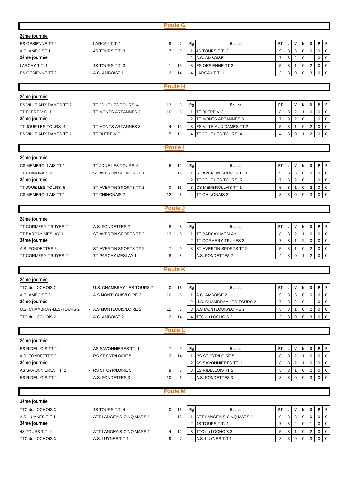|                           |                             | <b>Poule G</b>       |                                             |                                                                                                                |
|---------------------------|-----------------------------|----------------------|---------------------------------------------|----------------------------------------------------------------------------------------------------------------|
| 2ème journée              |                             |                      |                                             |                                                                                                                |
| <b>ES OESIENNE TT 2</b>   | - LARCAY T.T. 1             | $\overline{7}$<br>9  | Rg<br>Equipe                                | PT<br>P<br>J<br>V<br>N<br>D<br>F                                                                               |
| A.C. AMBOISE 1            | - 4S TOURS T.T. 3           | $\overline{7}$<br>9  | $\mathbf{1}$<br>4S TOURS T.T. 3             | $\mathbf{3}$<br>9<br>3<br>$\mathbf 0$<br>$\mathbf 0$<br>$\mathbf 0$<br>0                                       |
| 3ème journée              |                             |                      | A.C. AMBOISE 1<br>2                         | $\mathbf{3}$<br>$\overline{2}$<br>$\overline{7}$<br>$\mathbf 0$<br>$\mathbf 0$<br>$\mathbf 0$<br>1             |
| LARCAY T.T. 1             | - 4S TOURS T.T. 3           | 15<br>$\mathbf{1}$   | 3<br><b>ES OESIENNE TT 2</b>                | 5<br>3<br>$\overline{c}$<br>0<br>$\mathbf 0$<br>$\mathbf{1}$<br>$\mathbf 0$                                    |
| ES OESIENNE TT 2          | - A.C. AMBOISE 1            | 2<br>14              | LARCAY T.T. 1<br>$\overline{4}$             | 3<br>3<br>$\mathbf 0$<br>$\mathbf 0$<br>$\Omega$<br>3<br>$\mathbf 0$                                           |
|                           |                             |                      |                                             |                                                                                                                |
|                           |                             | <b>Poule H</b>       |                                             |                                                                                                                |
| 2ème journée              |                             |                      |                                             |                                                                                                                |
| ES VILLE AUX DAMES TT 2   | - TT JOUE LES TOURS 4       | 3<br>13              | Equipe<br>Rg                                | PT<br>P<br>F<br>J<br>۷<br>N<br>D                                                                               |
| TT BLERE V.C. 1           | - TT MONTS ARTANNES 3       | 10<br>6              | TT BLERE V.C. 1<br>$\mathbf{1}$             | 8<br>3<br>$\overline{2}$<br>0<br>$\mathbf 0$<br>$\mathbf 0$<br>1                                               |
| <b>3ème journée</b>       |                             |                      | TT MONTS ARTANNES 3<br>2                    | 3<br>$\overline{2}$<br>$\overline{7}$<br>0<br>$\mathbf 0$<br>0<br>1                                            |
| TT JOUE LES TOURS 4       | - TT MONTS ARTANNES 3       | 12<br>4              | 3<br>ES VILLE AUX DAMES TT 2                | 5<br>3<br>$\overline{\mathbf{c}}$<br>$\mathbf 0$<br>$\mathbf{1}$<br>0<br>0                                     |
| ES VILLE AUX DAMES TT 2   | - TT BLERE V.C. 1           | 5<br>11              | TT JOUE LES TOURS 4<br>4                    | 3<br>$\overline{2}$<br>$\mathbf 0$<br>4<br>$\mathbf 0$<br>$\mathbf 0$<br>1                                     |
|                           |                             |                      |                                             |                                                                                                                |
|                           |                             | <b>Poule</b> I       |                                             |                                                                                                                |
| 2ème journée              |                             |                      |                                             |                                                                                                                |
| CS MEMBROLLAIS TT 1       | - TT JOUE LES TOURS 5       | 6<br>12              | Equipe<br>Rg                                | PT.<br>V<br>P<br>F<br>J<br>N<br>D                                                                              |
| TT CHINONAIS 2            | - ST AVERTIN SPORTS TT 1    | $\mathbf{1}$<br>15   | ST AVERTIN SPORTS TT 1<br>$\mathbf{1}$      | 3<br>9<br>$\sqrt{3}$<br>0<br>$\mathbf 0$<br>$\mathbf 0$<br>0                                                   |
| 3ème journée              |                             |                      | TT JOUE LES TOURS 5<br>$\overline{2}$       | $\mathbf{3}$<br>$\mathbf 2$<br>$\overline{7}$<br>$\mathbf 0$<br>$\mathbf 0$<br>$\mathbf 0$<br>1                |
| TT JOUE LES TOURS 5       | - ST AVERTIN SPORTS TT 1    | 0<br>16              | <b>CS MEMBROLLAIS TT 1</b><br>3             | 3<br>$\overline{2}$<br>$\mathbf 0$<br>5<br>0<br>0<br>$\overline{1}$                                            |
| CS MEMBROLLAIS TT 1       | - TT CHINONAIS 2            | 12<br>6              | $\overline{4}$<br><b>TT CHINONAIS 2</b>     | 3<br>3<br>3<br>$\mathbf 0$<br>$\Omega$<br>0<br>$\Omega$                                                        |
|                           |                             |                      |                                             |                                                                                                                |
|                           |                             | <b>Poule J</b>       |                                             |                                                                                                                |
| 2ème journée              |                             |                      |                                             |                                                                                                                |
| TT CORMERY-TRUYES 2       | - A.S. FONDETTES 2          | 8<br>8               | Rg<br>Equipe                                | PT<br>P<br>F<br>V<br>D<br>J<br>N                                                                               |
| TT PARCAY MESLAY 1        | - ST AVERTIN SPORTS TT 2    | 5<br>13              | TT PARCAY MESLAY 1<br>$\mathbf{1}$          | 3<br>$\overline{2}$<br>8<br>$\mathbf 0$<br>$\mathbf 0$<br>0<br>1                                               |
| <b>3ème journée</b>       |                             |                      | TT CORMERY-TRUYES 2<br>2                    | 3<br>$\overline{7}$<br>$\overline{2}$<br>$\mathbf 0$<br>$\mathbf{1}$<br>0<br>0                                 |
| A.S. FONDETTES 2          | - ST AVERTIN SPORTS TT 2    | $\overline{7}$<br>9  | 3<br>ST AVERTIN SPORTS TT 2                 | 5<br>3<br>$\mathbf 0$<br>$\mathbf 0$<br>$\overline{2}$<br>$\mathbf 0$<br>$\mathbf{1}$                          |
| TT CORMERY-TRUYES 2       | - TT PARCAY MESLAY 1        | 8<br>8               | A.S. FONDETTES 2<br>$\overline{4}$          | $\overline{4}$<br>3<br>$\mathbf 0$<br>$\overline{2}$<br>$\mathbf 0$<br>0<br>1                                  |
|                           |                             | <b>Poule K</b>       |                                             |                                                                                                                |
| 2ème journée              |                             |                      |                                             |                                                                                                                |
| TTC du LOCHOIS 2          | - U.S. CHAMBRAY-LES-TOURS 2 | 0                    | Rg                                          | $\mathsf F$<br>P<br>PT<br>J<br>V<br>N<br>D                                                                     |
| A.C. AMBOISE 2            | - A.S MONTLOUIS/LOIRE 2     | 16<br>6<br>10        | Equipe<br>A.C. AMBOISE 2<br>$\mathbf{1}$    | 3<br>9<br>$\sqrt{3}$<br>$\mathbf 0$<br>0<br>0<br>$\mathbf 0$                                                   |
| 3ème journée              |                             |                      | U.S. CHAMBRAY-LES-TOURS 2<br>$\overline{2}$ | $\mathbf{3}$<br>$\overline{7}$<br>$\overline{2}$<br>$\mathbf 0$<br>$\mathbf 0$<br>$\mathbf{1}$<br>$\mathbf{0}$ |
| U.S. CHAMBRAY-LES-TOURS 2 | - A.S MONTLOUIS/LOIRE 2     | 11<br>5              | 3 A.S MONTLOUIS/LOIRE 2                     | $\mathbf{3}$<br>$\overline{2}$<br>$\overline{0}$<br>5<br>0<br>$\mathbf{0}$<br>$\mathbf{1}$                     |
| TTC du LOCHOIS 2          | - A.C. AMBOISE 2            | $\overline{2}$<br>14 | $\overline{4}$<br>TTC du LOCHOIS 2          | $\mathsf 0$<br>3<br>3<br>$\mathsf 0$<br>3<br>$\mathbf 0$<br>$\mathbf 0$                                        |
|                           |                             |                      |                                             |                                                                                                                |
|                           |                             | <b>Poule L</b>       |                                             |                                                                                                                |
| 2ème journée              |                             |                      |                                             |                                                                                                                |
| <b>ES RIDELLOIS TT 2</b>  | - AS SAVONNIERES TT 1       | $\overline{7}$<br>9  | Rg<br>Equipe                                | P<br> F <br>PT<br>V<br>D<br>J<br>N                                                                             |
| A.S. FONDETTES 3          | - RS ST CYR/LOIRE 5         | $\overline{2}$<br>14 | RS ST CYR/LOIRE 5<br>$\mathbf{1}$           | 3<br>$\overline{2}$<br>8<br>$\mathbf 0$<br>$\mathbf 0$<br>0<br>1                                               |
| <b>3ème journée</b>       |                             |                      | AS SAVONNIERES TT 1<br>2                    | $\mathbf{3}$<br>$\overline{2}$<br>8<br>$\overline{0}$<br>0<br>$\mathbf{0}$<br>1                                |
| AS SAVONNIERES TT 1       | - RS ST CYR/LOIRE 5         | 8<br>8               | 3<br><b>ES RIDELLOIS TT 2</b>               | 3<br>$\overline{0}$<br>5<br>$\mathbf 0$<br>$\overline{2}$<br>$\mathbf 0$<br>$\overline{1}$                     |
| ES RIDELLOIS TT 2         | - A.S. FONDETTES 3          | 10<br>6              | A.S. FONDETTES 3<br>$\overline{4}$          | 3<br>3<br>3<br>$\mathbf 0$<br>$\mathbf 0$<br>0<br>0                                                            |
|                           |                             |                      |                                             |                                                                                                                |
|                           |                             | <b>Poule M</b>       |                                             |                                                                                                                |
| 2ème journée              |                             |                      |                                             |                                                                                                                |
| TTC du LOCHOIS 3          | - 4S TOURS T.T. 4           | 0<br>16              | Rg<br>Equipe                                | PT<br>P<br>F<br>J<br>V<br>N<br>D                                                                               |
| A.S. LUYNES T.T 1         | - ATT LANGEAIS-CINQ MARS 1  | $\mathbf{1}$<br>15   | ATT LANGEAIS-CINQ MARS 1<br>$\mathbf{1}$    | $\mathbf{3}$<br>9<br>3<br>0<br>$\mathbf 0$<br>$\mathbf 0$<br>$\mathbf 0$                                       |
| <b>3ème journée</b>       |                             |                      | $\overline{2}$<br>4S TOURS T.T. 4           | $\mathbf{3}$<br>$\overline{7}$<br>$\overline{2}$<br>$\mathbf 0$<br>$\mathbf 0$<br>$\overline{0}$<br>1          |
| 4S TOURS T.T. 4           | - ATT LANGEAIS-CINQ MARS 1  | 4<br>12              | TTC du LOCHOIS 3<br>3                       | 5<br>$\mathbf{3}$<br>$\overline{c}$<br>$\mathbf{1}$<br>$\mathbf 0$<br>$\mathbf 0$<br>$\mathbf 0$               |
| TTC du LOCHOIS 3          | - A.S. LUYNES T.T 1         | 9<br>$\overline{7}$  | $\overline{4}$<br>A.S. LUYNES T.T 1         | $\mathbf{3}$<br>3<br>$\overline{0}$<br>3<br>$\overline{0}$<br>$\mathbf 0$<br>$\Omega$                          |